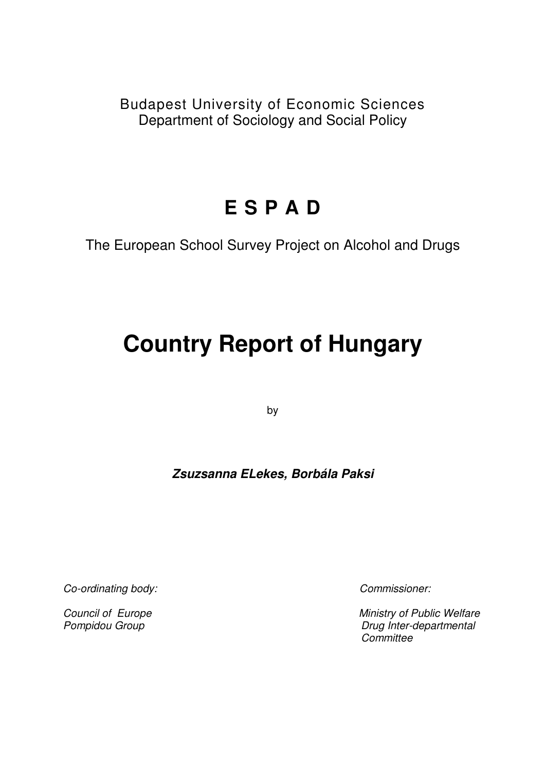Budapest University of Economic Sciences Department of Sociology and Social Policy

# **E S P A D**

The European School Survey Project on Alcohol and Drugs

# **Country Report of Hungary**

by

# **Zsuzsanna ELekes, Borbála Paksi**

Co-ordinating body: Commissioner:

Council of EuropeMinistry of Public Welfare Pompidou Group **Drug Inter-departmental Committee**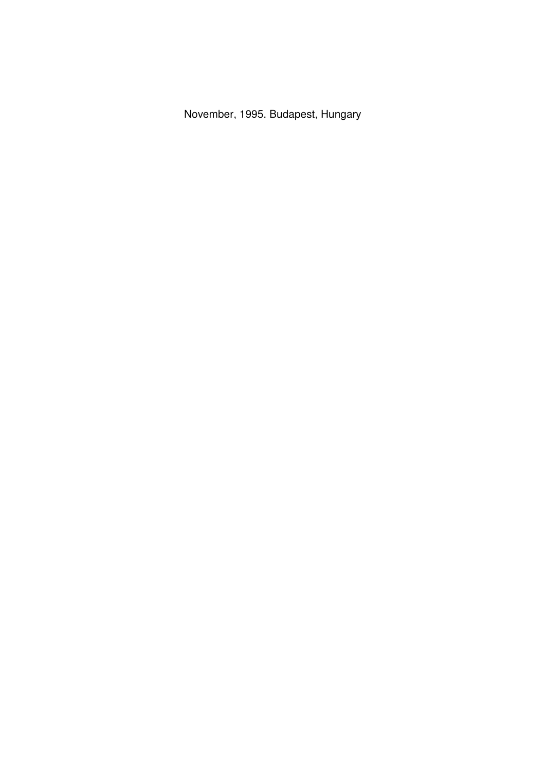November, 1995. Budapest, Hungary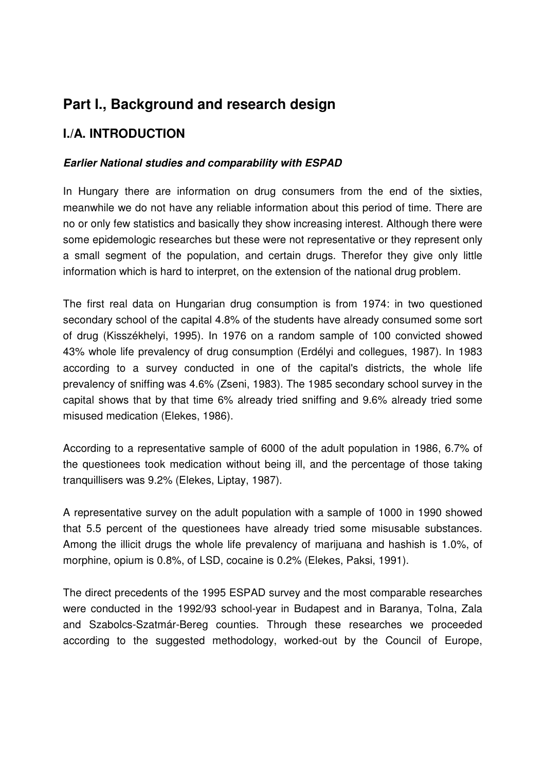# **Part I., Background and research design**

# **I./A. INTRODUCTION**

## **Earlier National studies and comparability with ESPAD**

In Hungary there are information on drug consumers from the end of the sixties, meanwhile we do not have any reliable information about this period of time. There are no or only few statistics and basically they show increasing interest. Although there were some epidemologic researches but these were not representative or they represent only a small segment of the population, and certain drugs. Therefor they give only little information which is hard to interpret, on the extension of the national drug problem.

The first real data on Hungarian drug consumption is from 1974: in two questioned secondary school of the capital 4.8% of the students have already consumed some sort of drug (Kisszékhelyi, 1995). In 1976 on a random sample of 100 convicted showed 43% whole life prevalency of drug consumption (Erdélyi and collegues, 1987). In 1983 according to a survey conducted in one of the capital's districts, the whole life prevalency of sniffing was 4.6% (Zseni, 1983). The 1985 secondary school survey in the capital shows that by that time 6% already tried sniffing and 9.6% already tried some misused medication (Elekes, 1986).

According to a representative sample of 6000 of the adult population in 1986, 6.7% of the questionees took medication without being ill, and the percentage of those taking tranquillisers was 9.2% (Elekes, Liptay, 1987).

A representative survey on the adult population with a sample of 1000 in 1990 showed that 5.5 percent of the questionees have already tried some misusable substances. Among the illicit drugs the whole life prevalency of marijuana and hashish is 1.0%, of morphine, opium is 0.8%, of LSD, cocaine is 0.2% (Elekes, Paksi, 1991).

The direct precedents of the 1995 ESPAD survey and the most comparable researches were conducted in the 1992/93 school-year in Budapest and in Baranya, Tolna, Zala and Szabolcs-Szatmár-Bereg counties. Through these researches we proceeded according to the suggested methodology, worked-out by the Council of Europe,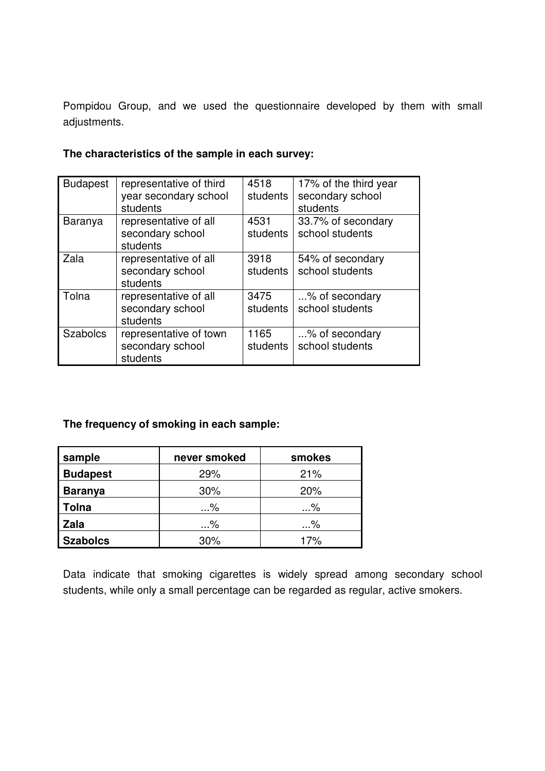Pompidou Group, and we used the questionnaire developed by them with small adjustments.

| <b>Budapest</b> | representative of third<br>year secondary school<br>students | 4518<br>students | 17% of the third year<br>secondary school<br>students |
|-----------------|--------------------------------------------------------------|------------------|-------------------------------------------------------|
| Baranya         | representative of all<br>secondary school<br>students        | 4531<br>students | 33.7% of secondary<br>school students                 |
| Zala            | representative of all<br>secondary school<br>students        | 3918<br>students | 54% of secondary<br>school students                   |
| Tolna           | representative of all<br>secondary school<br>students        | 3475<br>students | % of secondary<br>school students                     |
| <b>Szabolcs</b> | representative of town<br>secondary school<br>students       | 1165<br>students | % of secondary<br>school students                     |

## **The characteristics of the sample in each survey:**

## **The frequency of smoking in each sample:**

| sample          | never smoked | smokes |
|-----------------|--------------|--------|
| <b>Budapest</b> | 29%          | 21%    |
| <b>Baranya</b>  | 30%          | 20%    |
| Tolna           | …%           | %      |
| Zala            | …%           | %      |
| <b>Szabolcs</b> | 30%          | 17%    |

Data indicate that smoking cigarettes is widely spread among secondary school students, while only a small percentage can be regarded as regular, active smokers.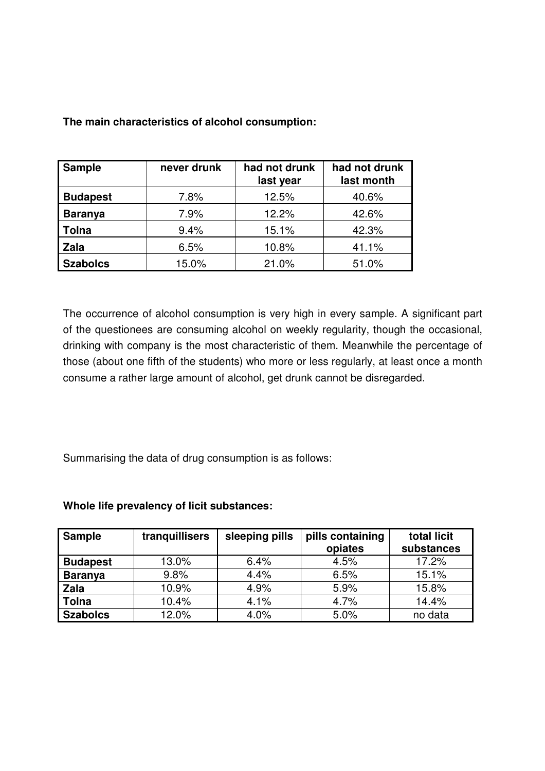| <b>Sample</b>   | never drunk | had not drunk<br>last year | had not drunk<br>last month |
|-----------------|-------------|----------------------------|-----------------------------|
| <b>Budapest</b> | 7.8%        | 12.5%                      | 40.6%                       |
| <b>Baranya</b>  | 7.9%        | 12.2%                      | 42.6%                       |
| <b>Tolna</b>    | 9.4%        | 15.1%                      | 42.3%                       |
| <b>Zala</b>     | 6.5%        | 10.8%                      | 41.1%                       |
| <b>Szabolcs</b> | 15.0%       | 21.0%                      | 51.0%                       |

**The main characteristics of alcohol consumption:** 

The occurrence of alcohol consumption is very high in every sample. A significant part of the questionees are consuming alcohol on weekly regularity, though the occasional, drinking with company is the most characteristic of them. Meanwhile the percentage of those (about one fifth of the students) who more or less regularly, at least once a month consume a rather large amount of alcohol, get drunk cannot be disregarded.

Summarising the data of drug consumption is as follows:

#### **Whole life prevalency of licit substances:**

| <b>Sample</b>   | tranquillisers | sleeping pills | pills containing<br>opiates | total licit<br>substances |
|-----------------|----------------|----------------|-----------------------------|---------------------------|
| <b>Budapest</b> | 13.0%          | 6.4%           | 4.5%                        | 17.2%                     |
| <b>Baranya</b>  | 9.8%           | 4.4%           | 6.5%                        | 15.1%                     |
| <b>Zala</b>     | 10.9%          | 4.9%           | 5.9%                        | 15.8%                     |
| <b>Tolna</b>    | 10.4%          | 4.1%           | 4.7%                        | 14.4%                     |
| <b>Szabolcs</b> | 12.0%          | 4.0%           | 5.0%                        | no data                   |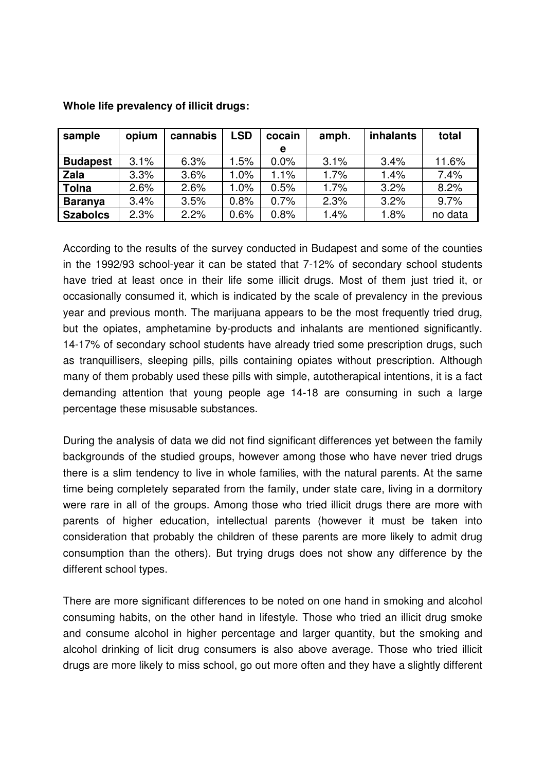| sample          | opium | cannabis | <b>LSD</b> | cocain | amph. | <b>inhalants</b> | total   |
|-----------------|-------|----------|------------|--------|-------|------------------|---------|
|                 |       |          |            | е      |       |                  |         |
| <b>Budapest</b> | 3.1%  | 6.3%     | 1.5%       | 0.0%   | 3.1%  | 3.4%             | 11.6%   |
| Zala            | 3.3%  | 3.6%     | 1.0%       | 1.1%   | 1.7%  | 1.4%             | 7.4%    |
| <b>Tolna</b>    | 2.6%  | 2.6%     | 1.0%       | 0.5%   | 1.7%  | 3.2%             | 8.2%    |
| <b>Baranya</b>  | 3.4%  | 3.5%     | 0.8%       | 0.7%   | 2.3%  | 3.2%             | 9.7%    |
| <b>Szabolcs</b> | 2.3%  | 2.2%     | 0.6%       | 0.8%   | 1.4%  | 1.8%             | no data |

**Whole life prevalency of illicit drugs:** 

According to the results of the survey conducted in Budapest and some of the counties in the 1992/93 school-year it can be stated that 7-12% of secondary school students have tried at least once in their life some illicit drugs. Most of them just tried it, or occasionally consumed it, which is indicated by the scale of prevalency in the previous year and previous month. The marijuana appears to be the most frequently tried drug, but the opiates, amphetamine by-products and inhalants are mentioned significantly. 14-17% of secondary school students have already tried some prescription drugs, such as tranquillisers, sleeping pills, pills containing opiates without prescription. Although many of them probably used these pills with simple, autotherapical intentions, it is a fact demanding attention that young people age 14-18 are consuming in such a large percentage these misusable substances.

During the analysis of data we did not find significant differences yet between the family backgrounds of the studied groups, however among those who have never tried drugs there is a slim tendency to live in whole families, with the natural parents. At the same time being completely separated from the family, under state care, living in a dormitory were rare in all of the groups. Among those who tried illicit drugs there are more with parents of higher education, intellectual parents (however it must be taken into consideration that probably the children of these parents are more likely to admit drug consumption than the others). But trying drugs does not show any difference by the different school types.

There are more significant differences to be noted on one hand in smoking and alcohol consuming habits, on the other hand in lifestyle. Those who tried an illicit drug smoke and consume alcohol in higher percentage and larger quantity, but the smoking and alcohol drinking of licit drug consumers is also above average. Those who tried illicit drugs are more likely to miss school, go out more often and they have a slightly different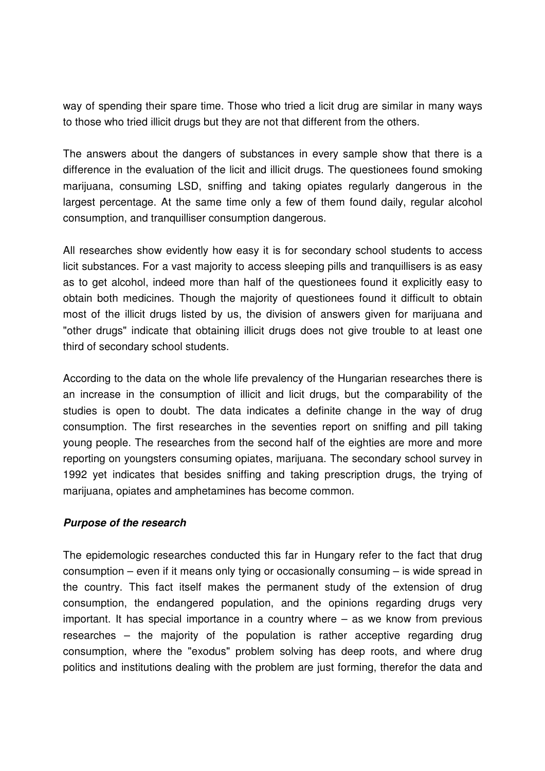way of spending their spare time. Those who tried a licit drug are similar in many ways to those who tried illicit drugs but they are not that different from the others.

The answers about the dangers of substances in every sample show that there is a difference in the evaluation of the licit and illicit drugs. The questionees found smoking marijuana, consuming LSD, sniffing and taking opiates regularly dangerous in the largest percentage. At the same time only a few of them found daily, regular alcohol consumption, and tranquilliser consumption dangerous.

All researches show evidently how easy it is for secondary school students to access licit substances. For a vast majority to access sleeping pills and tranquillisers is as easy as to get alcohol, indeed more than half of the questionees found it explicitly easy to obtain both medicines. Though the majority of questionees found it difficult to obtain most of the illicit drugs listed by us, the division of answers given for marijuana and "other drugs" indicate that obtaining illicit drugs does not give trouble to at least one third of secondary school students.

According to the data on the whole life prevalency of the Hungarian researches there is an increase in the consumption of illicit and licit drugs, but the comparability of the studies is open to doubt. The data indicates a definite change in the way of drug consumption. The first researches in the seventies report on sniffing and pill taking young people. The researches from the second half of the eighties are more and more reporting on youngsters consuming opiates, marijuana. The secondary school survey in 1992 yet indicates that besides sniffing and taking prescription drugs, the trying of marijuana, opiates and amphetamines has become common.

#### **Purpose of the research**

The epidemologic researches conducted this far in Hungary refer to the fact that drug consumption – even if it means only tying or occasionally consuming – is wide spread in the country. This fact itself makes the permanent study of the extension of drug consumption, the endangered population, and the opinions regarding drugs very important. It has special importance in a country where – as we know from previous researches – the majority of the population is rather acceptive regarding drug consumption, where the "exodus" problem solving has deep roots, and where drug politics and institutions dealing with the problem are just forming, therefor the data and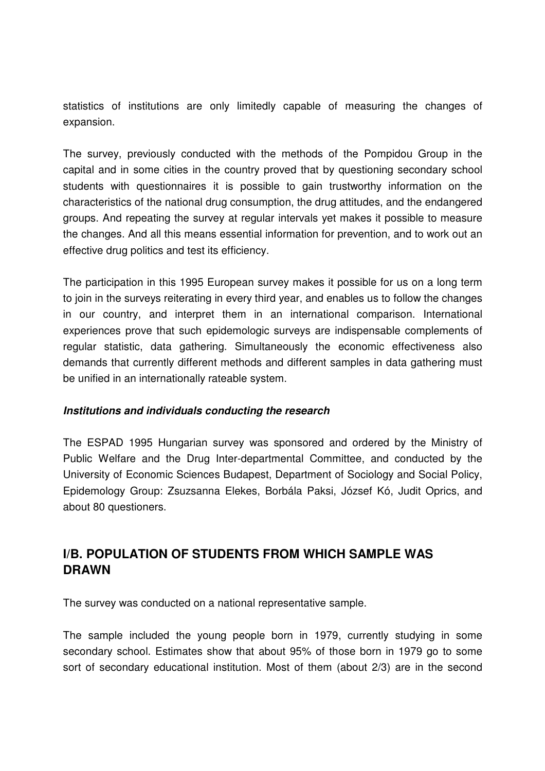statistics of institutions are only limitedly capable of measuring the changes of expansion.

The survey, previously conducted with the methods of the Pompidou Group in the capital and in some cities in the country proved that by questioning secondary school students with questionnaires it is possible to gain trustworthy information on the characteristics of the national drug consumption, the drug attitudes, and the endangered groups. And repeating the survey at regular intervals yet makes it possible to measure the changes. And all this means essential information for prevention, and to work out an effective drug politics and test its efficiency.

The participation in this 1995 European survey makes it possible for us on a long term to join in the surveys reiterating in every third year, and enables us to follow the changes in our country, and interpret them in an international comparison. International experiences prove that such epidemologic surveys are indispensable complements of regular statistic, data gathering. Simultaneously the economic effectiveness also demands that currently different methods and different samples in data gathering must be unified in an internationally rateable system.

#### **Institutions and individuals conducting the research**

The ESPAD 1995 Hungarian survey was sponsored and ordered by the Ministry of Public Welfare and the Drug Inter-departmental Committee, and conducted by the University of Economic Sciences Budapest, Department of Sociology and Social Policy, Epidemology Group: Zsuzsanna Elekes, Borbála Paksi, József Kó, Judit Oprics, and about 80 questioners.

# **I/B. POPULATION OF STUDENTS FROM WHICH SAMPLE WAS DRAWN**

The survey was conducted on a national representative sample.

The sample included the young people born in 1979, currently studying in some secondary school. Estimates show that about 95% of those born in 1979 go to some sort of secondary educational institution. Most of them (about 2/3) are in the second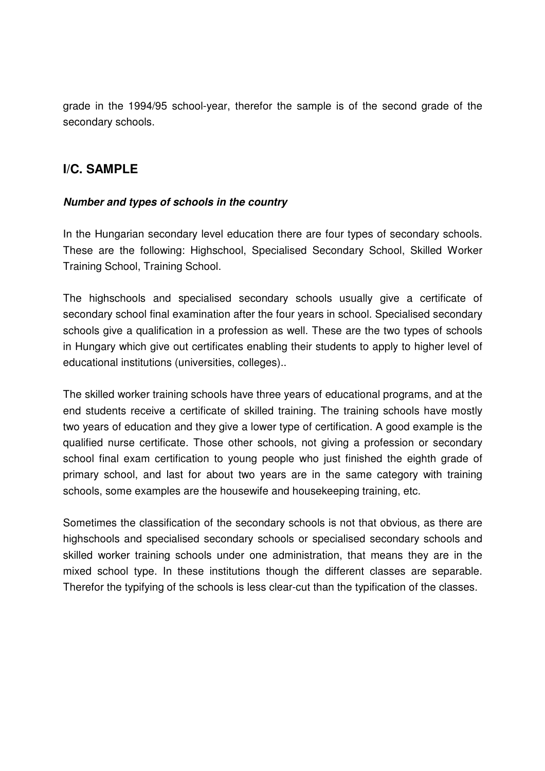grade in the 1994/95 school-year, therefor the sample is of the second grade of the secondary schools.

# **I/C. SAMPLE**

## **Number and types of schools in the country**

In the Hungarian secondary level education there are four types of secondary schools. These are the following: Highschool, Specialised Secondary School, Skilled Worker Training School, Training School.

The highschools and specialised secondary schools usually give a certificate of secondary school final examination after the four years in school. Specialised secondary schools give a qualification in a profession as well. These are the two types of schools in Hungary which give out certificates enabling their students to apply to higher level of educational institutions (universities, colleges)..

The skilled worker training schools have three years of educational programs, and at the end students receive a certificate of skilled training. The training schools have mostly two years of education and they give a lower type of certification. A good example is the qualified nurse certificate. Those other schools, not giving a profession or secondary school final exam certification to young people who just finished the eighth grade of primary school, and last for about two years are in the same category with training schools, some examples are the housewife and housekeeping training, etc.

Sometimes the classification of the secondary schools is not that obvious, as there are highschools and specialised secondary schools or specialised secondary schools and skilled worker training schools under one administration, that means they are in the mixed school type. In these institutions though the different classes are separable. Therefor the typifying of the schools is less clear-cut than the typification of the classes.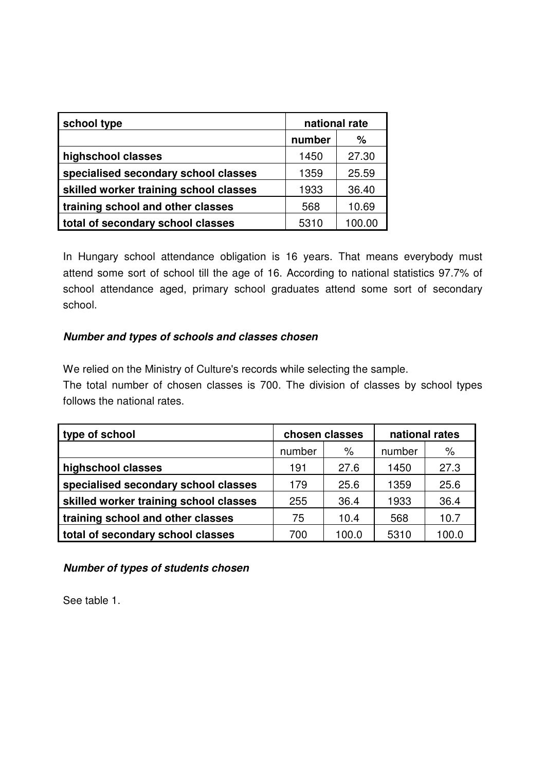| school type                            | national rate |        |
|----------------------------------------|---------------|--------|
|                                        | number        | $\%$   |
| highschool classes                     | 1450          | 27.30  |
| specialised secondary school classes   | 25.59<br>1359 |        |
| skilled worker training school classes | 1933          | 36.40  |
| training school and other classes      | 568           | 10.69  |
| total of secondary school classes      | 5310          | 100.00 |

In Hungary school attendance obligation is 16 years. That means everybody must attend some sort of school till the age of 16. According to national statistics 97.7% of school attendance aged, primary school graduates attend some sort of secondary school.

## **Number and types of schools and classes chosen**

We relied on the Ministry of Culture's records while selecting the sample.

The total number of chosen classes is 700. The division of classes by school types follows the national rates.

| type of school                         | chosen classes |      | national rates |       |
|----------------------------------------|----------------|------|----------------|-------|
|                                        | $\%$<br>number |      | number         | $\%$  |
| highschool classes                     | 191            | 27.6 | 1450           | 27.3  |
| specialised secondary school classes   | 179            | 25.6 | 1359           | 25.6  |
| skilled worker training school classes | 255            | 36.4 | 1933           | 36.4  |
| training school and other classes      | 75             | 10.4 | 568            | 10.7  |
| total of secondary school classes      | 700<br>100.0   |      | 5310           | 100.0 |

## **Number of types of students chosen**

See table 1.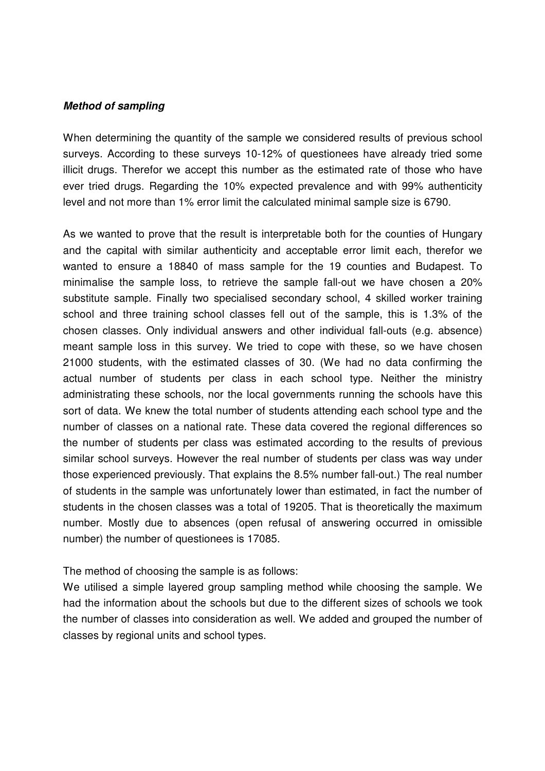#### **Method of sampling**

When determining the quantity of the sample we considered results of previous school surveys. According to these surveys 10-12% of questionees have already tried some illicit drugs. Therefor we accept this number as the estimated rate of those who have ever tried drugs. Regarding the 10% expected prevalence and with 99% authenticity level and not more than 1% error limit the calculated minimal sample size is 6790.

As we wanted to prove that the result is interpretable both for the counties of Hungary and the capital with similar authenticity and acceptable error limit each, therefor we wanted to ensure a 18840 of mass sample for the 19 counties and Budapest. To minimalise the sample loss, to retrieve the sample fall-out we have chosen a 20% substitute sample. Finally two specialised secondary school, 4 skilled worker training school and three training school classes fell out of the sample, this is 1.3% of the chosen classes. Only individual answers and other individual fall-outs (e.g. absence) meant sample loss in this survey. We tried to cope with these, so we have chosen 21000 students, with the estimated classes of 30. (We had no data confirming the actual number of students per class in each school type. Neither the ministry administrating these schools, nor the local governments running the schools have this sort of data. We knew the total number of students attending each school type and the number of classes on a national rate. These data covered the regional differences so the number of students per class was estimated according to the results of previous similar school surveys. However the real number of students per class was way under those experienced previously. That explains the 8.5% number fall-out.) The real number of students in the sample was unfortunately lower than estimated, in fact the number of students in the chosen classes was a total of 19205. That is theoretically the maximum number. Mostly due to absences (open refusal of answering occurred in omissible number) the number of questionees is 17085.

The method of choosing the sample is as follows:

We utilised a simple layered group sampling method while choosing the sample. We had the information about the schools but due to the different sizes of schools we took the number of classes into consideration as well. We added and grouped the number of classes by regional units and school types.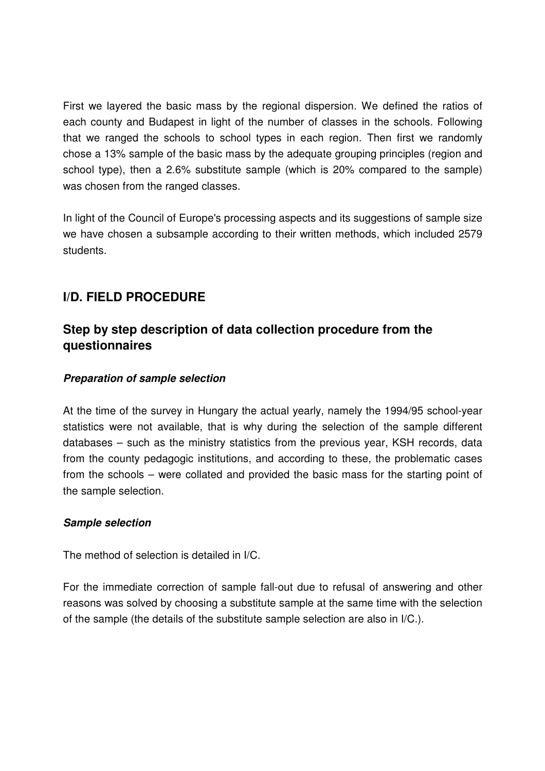First we layered the basic mass by the regional dispersion. We defined the ratios of each county and Budapest in light of the number of classes in the schools. Following that we ranged the schools to school types in each region. Then first we randomly chose a 13% sample of the basic mass by the adequate grouping principles (region and school type), then a 2.6% substitute sample (which is 20% compared to the sample) was chosen from the ranged classes.

In light of the Council of Europe's processing aspects and its suggestions of sample size we have chosen a subsample according to their written methods, which included 2579 students.

# **I/D. FIELD PROCEDURE**

# **Step by step description of data collection procedure from the questionnaires**

## **Preparation of sample selection**

At the time of the survey in Hungary the actual yearly, namely the 1994/95 school-year statistics were not available, that is why during the selection of the sample different databases – such as the ministry statistics from the previous year, KSH records, data from the county pedagogic institutions, and according to these, the problematic cases from the schools – were collated and provided the basic mass for the starting point of the sample selection.

#### **Sample selection**

The method of selection is detailed in I/C.

For the immediate correction of sample fall-out due to refusal of answering and other reasons was solved by choosing a substitute sample at the same time with the selection of the sample (the details of the substitute sample selection are also in I/C.).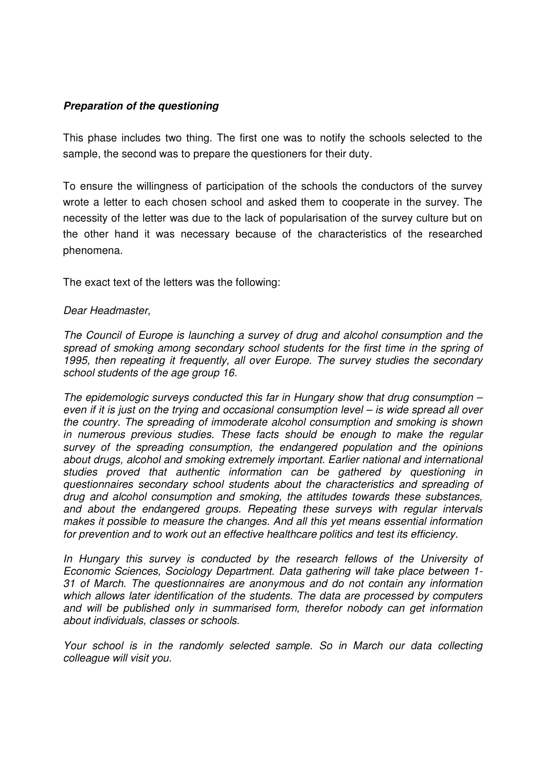#### **Preparation of the questioning**

This phase includes two thing. The first one was to notify the schools selected to the sample, the second was to prepare the questioners for their duty.

To ensure the willingness of participation of the schools the conductors of the survey wrote a letter to each chosen school and asked them to cooperate in the survey. The necessity of the letter was due to the lack of popularisation of the survey culture but on the other hand it was necessary because of the characteristics of the researched phenomena.

The exact text of the letters was the following:

#### Dear Headmaster,

The Council of Europe is launching a survey of drug and alcohol consumption and the spread of smoking among secondary school students for the first time in the spring of 1995, then repeating it frequently, all over Europe. The survey studies the secondary school students of the age group 16.

The epidemologic surveys conducted this far in Hungary show that drug consumption  $$ even if it is just on the trying and occasional consumption level – is wide spread all over the country. The spreading of immoderate alcohol consumption and smoking is shown in numerous previous studies. These facts should be enough to make the regular survey of the spreading consumption, the endangered population and the opinions about drugs, alcohol and smoking extremely important. Earlier national and international studies proved that authentic information can be gathered by questioning in questionnaires secondary school students about the characteristics and spreading of drug and alcohol consumption and smoking, the attitudes towards these substances, and about the endangered groups. Repeating these surveys with regular intervals makes it possible to measure the changes. And all this yet means essential information for prevention and to work out an effective healthcare politics and test its efficiency.

In Hungary this survey is conducted by the research fellows of the University of Economic Sciences, Sociology Department. Data gathering will take place between 1- 31 of March. The questionnaires are anonymous and do not contain any information which allows later identification of the students. The data are processed by computers and will be published only in summarised form, therefor nobody can get information about individuals, classes or schools.

Your school is in the randomly selected sample. So in March our data collecting colleague will visit you.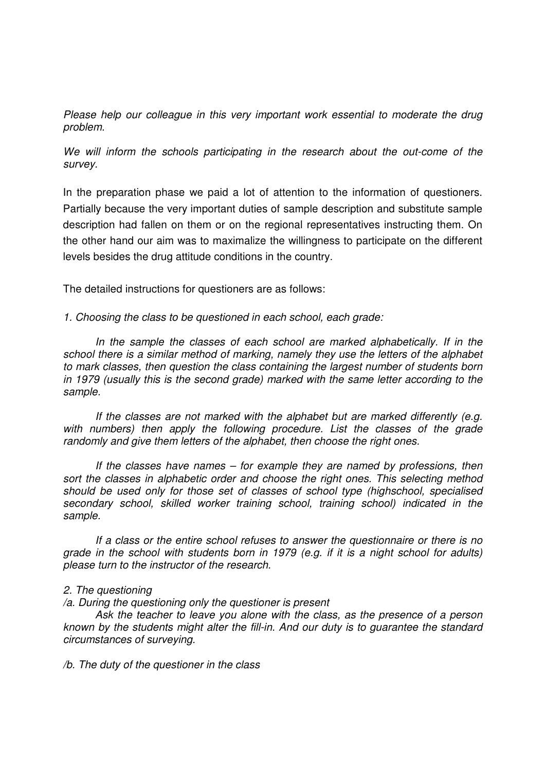Please help our colleague in this very important work essential to moderate the drug problem.

We will inform the schools participating in the research about the out-come of the survey.

In the preparation phase we paid a lot of attention to the information of questioners. Partially because the very important duties of sample description and substitute sample description had fallen on them or on the regional representatives instructing them. On the other hand our aim was to maximalize the willingness to participate on the different levels besides the drug attitude conditions in the country.

The detailed instructions for questioners are as follows:

1. Choosing the class to be questioned in each school, each grade:

 In the sample the classes of each school are marked alphabetically. If in the school there is a similar method of marking, namely they use the letters of the alphabet to mark classes, then question the class containing the largest number of students born in 1979 (usually this is the second grade) marked with the same letter according to the sample.

 If the classes are not marked with the alphabet but are marked differently (e.g. with numbers) then apply the following procedure. List the classes of the grade randomly and give them letters of the alphabet, then choose the right ones.

If the classes have names  $-$  for example they are named by professions, then sort the classes in alphabetic order and choose the right ones. This selecting method should be used only for those set of classes of school type (highschool, specialised secondary school, skilled worker training school, training school) indicated in the sample.

 If a class or the entire school refuses to answer the questionnaire or there is no grade in the school with students born in 1979 (e.g. if it is a night school for adults) please turn to the instructor of the research.

#### 2. The questioning

/a. During the questioning only the questioner is present

 Ask the teacher to leave you alone with the class, as the presence of a person known by the students might alter the fill-in. And our duty is to guarantee the standard circumstances of surveying.

/b. The duty of the questioner in the class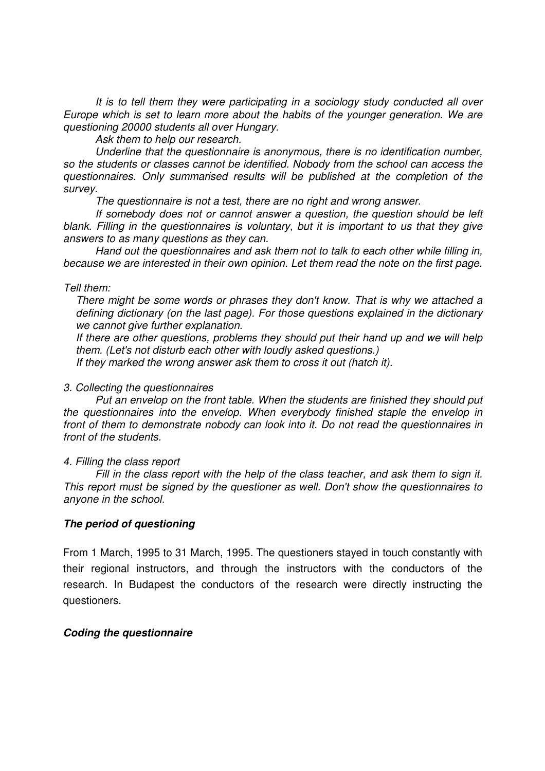It is to tell them they were participating in a sociology study conducted all over Europe which is set to learn more about the habits of the younger generation. We are questioning 20000 students all over Hungary.

Ask them to help our research.

 Underline that the questionnaire is anonymous, there is no identification number, so the students or classes cannot be identified. Nobody from the school can access the questionnaires. Only summarised results will be published at the completion of the survey.

The questionnaire is not a test, there are no right and wrong answer.

 If somebody does not or cannot answer a question, the question should be left blank. Filling in the questionnaires is voluntary, but it is important to us that they give answers to as many questions as they can.

 Hand out the questionnaires and ask them not to talk to each other while filling in, because we are interested in their own opinion. Let them read the note on the first page.

#### Tell them:

There might be some words or phrases they don't know. That is why we attached a defining dictionary (on the last page). For those questions explained in the dictionary we cannot give further explanation.

If there are other questions, problems they should put their hand up and we will help them. (Let's not disturb each other with loudly asked questions.)

If they marked the wrong answer ask them to cross it out (hatch it).

#### 3. Collecting the questionnaires

 Put an envelop on the front table. When the students are finished they should put the questionnaires into the envelop. When everybody finished staple the envelop in front of them to demonstrate nobody can look into it. Do not read the questionnaires in front of the students.

#### 4. Filling the class report

 Fill in the class report with the help of the class teacher, and ask them to sign it. This report must be signed by the questioner as well. Don't show the questionnaires to anyone in the school.

#### **The period of questioning**

From 1 March, 1995 to 31 March, 1995. The questioners stayed in touch constantly with their regional instructors, and through the instructors with the conductors of the research. In Budapest the conductors of the research were directly instructing the questioners.

#### **Coding the questionnaire**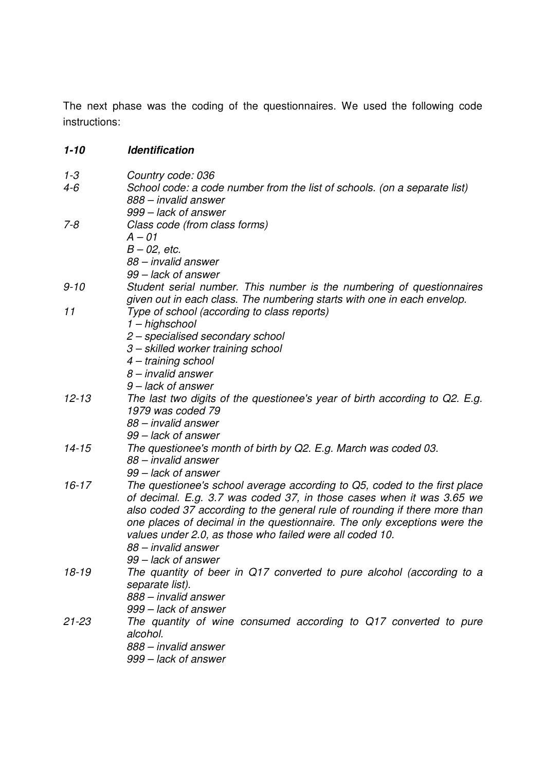The next phase was the coding of the questionnaires. We used the following code instructions:

| $1 - 3$   | Country code: 036                                                           |
|-----------|-----------------------------------------------------------------------------|
| 4-6       | School code: a code number from the list of schools. (on a separate list)   |
|           | 888 – invalid answer                                                        |
|           | 999 - lack of answer                                                        |
| $7 - 8$   | Class code (from class forms)                                               |
|           | $A - 01$                                                                    |
|           | $B - 02$ , etc.                                                             |
|           | 88 – invalid answer                                                         |
|           | 99 – lack of answer                                                         |
| 9-10      | Student serial number. This number is the numbering of questionnaires       |
|           | given out in each class. The numbering starts with one in each envelop.     |
| 11        | Type of school (according to class reports)                                 |
|           | 1 - highschool                                                              |
|           | 2 - specialised secondary school                                            |
|           | 3 - skilled worker training school                                          |
|           | 4 – training school                                                         |
|           | $8$ – invalid answer                                                        |
|           | 9 – lack of answer                                                          |
| $12 - 13$ | The last two digits of the questionee's year of birth according to Q2. E.g. |
|           | 1979 was coded 79                                                           |
|           | 88 - invalid answer                                                         |
|           | 99 – lack of answer                                                         |
| $14 - 15$ | The questionee's month of birth by Q2. E.g. March was coded 03.             |
|           | 88 - invalid answer                                                         |
|           | 99 – lack of answer                                                         |
| $16 - 17$ | The questionee's school average according to Q5, coded to the first place   |
|           | of decimal. E.g. 3.7 was coded 37, in those cases when it was 3.65 we       |
|           | also coded 37 according to the general rule of rounding if there more than  |
|           | one places of decimal in the questionnaire. The only exceptions were the    |
|           | values under 2.0, as those who failed were all coded 10.                    |
|           | 88 - invalid answer                                                         |
|           | 99 – lack of answer                                                         |
| $18 - 19$ | The quantity of beer in Q17 converted to pure alcohol (according to a       |
|           | separate list).                                                             |
|           | 888 – invalid answer                                                        |
|           | 999 – lack of answer                                                        |
| $21 - 23$ | The quantity of wine consumed according to Q17 converted to pure            |
|           | alcohol.                                                                    |
|           | 888 – invalid answer                                                        |
|           | 999 – lack of answer                                                        |
|           |                                                                             |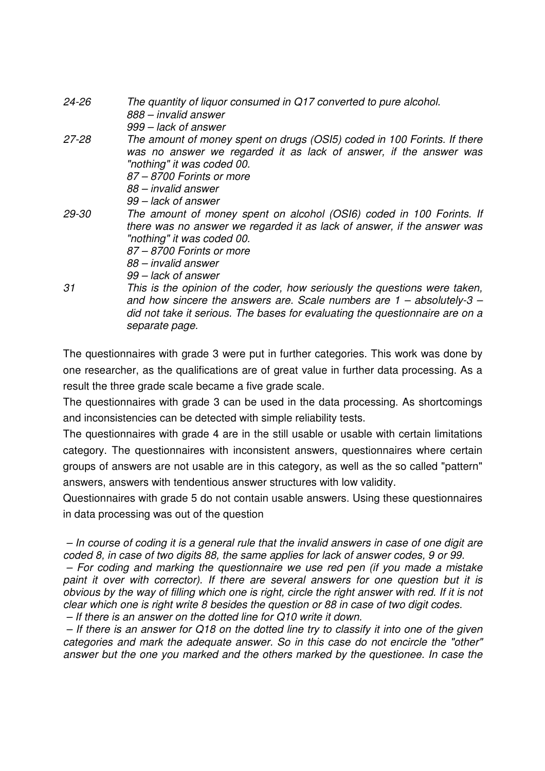| 24-26 | The quantity of liquor consumed in Q17 converted to pure alcohol.<br>888 – invalid answer      |
|-------|------------------------------------------------------------------------------------------------|
|       | 999 – lack of answer                                                                           |
| 27-28 | The amount of money spent on drugs (OSI5) coded in 100 Forints. If there                       |
|       | was no answer we regarded it as lack of answer, if the answer was                              |
|       | "nothing" it was coded 00.                                                                     |
|       | 87 – 8700 Forints or more                                                                      |
|       | 88 – invalid answer                                                                            |
|       | 99 – lack of answer                                                                            |
| 29-30 | The amount of money spent on alcohol (OSI6) coded in 100 Forints. If                           |
|       | there was no answer we regarded it as lack of answer, if the answer was                        |
|       | "nothing" it was coded 00.                                                                     |
|       | 87 – 8700 Forints or more                                                                      |
|       | 88 – invalid answer                                                                            |
|       | 99 – lack of answer                                                                            |
| 31    | This is the opinion of the coder, how seriously the questions were taken,                      |
|       | and how sincere the answers are. Scale numbers are $1 -$ absolutely-3 $-$                      |
|       | did not take it serious. The bases for evaluating the questionnaire are on a<br>separate page. |

The questionnaires with grade 3 were put in further categories. This work was done by one researcher, as the qualifications are of great value in further data processing. As a result the three grade scale became a five grade scale.

The questionnaires with grade 3 can be used in the data processing. As shortcomings and inconsistencies can be detected with simple reliability tests.

The questionnaires with grade 4 are in the still usable or usable with certain limitations category. The questionnaires with inconsistent answers, questionnaires where certain groups of answers are not usable are in this category, as well as the so called "pattern" answers, answers with tendentious answer structures with low validity.

Questionnaires with grade 5 do not contain usable answers. Using these questionnaires in data processing was out of the question

 – In course of coding it is a general rule that the invalid answers in case of one digit are coded 8, in case of two digits 88, the same applies for lack of answer codes, 9 or 99.

 – For coding and marking the questionnaire we use red pen (if you made a mistake paint it over with corrector). If there are several answers for one question but it is obvious by the way of filling which one is right, circle the right answer with red. If it is not clear which one is right write 8 besides the question or 88 in case of two digit codes. – If there is an answer on the dotted line for Q10 write it down.

 – If there is an answer for Q18 on the dotted line try to classify it into one of the given categories and mark the adequate answer. So in this case do not encircle the "other" answer but the one you marked and the others marked by the questionee. In case the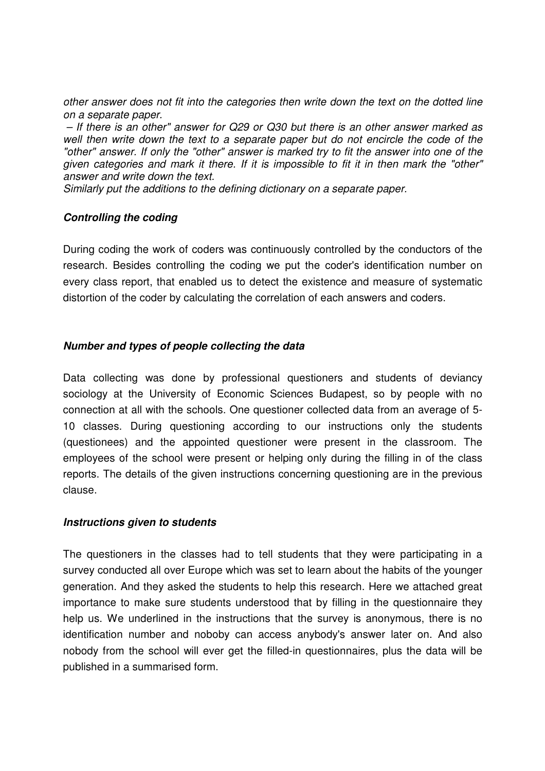other answer does not fit into the categories then write down the text on the dotted line on a separate paper.

 – If there is an other" answer for Q29 or Q30 but there is an other answer marked as well then write down the text to a separate paper but do not encircle the code of the "other" answer. If only the "other" answer is marked try to fit the answer into one of the given categories and mark it there. If it is impossible to fit it in then mark the "other" answer and write down the text.

Similarly put the additions to the defining dictionary on a separate paper.

#### **Controlling the coding**

During coding the work of coders was continuously controlled by the conductors of the research. Besides controlling the coding we put the coder's identification number on every class report, that enabled us to detect the existence and measure of systematic distortion of the coder by calculating the correlation of each answers and coders.

#### **Number and types of people collecting the data**

Data collecting was done by professional questioners and students of deviancy sociology at the University of Economic Sciences Budapest, so by people with no connection at all with the schools. One questioner collected data from an average of 5- 10 classes. During questioning according to our instructions only the students (questionees) and the appointed questioner were present in the classroom. The employees of the school were present or helping only during the filling in of the class reports. The details of the given instructions concerning questioning are in the previous clause.

#### **Instructions given to students**

The questioners in the classes had to tell students that they were participating in a survey conducted all over Europe which was set to learn about the habits of the younger generation. And they asked the students to help this research. Here we attached great importance to make sure students understood that by filling in the questionnaire they help us. We underlined in the instructions that the survey is anonymous, there is no identification number and noboby can access anybody's answer later on. And also nobody from the school will ever get the filled-in questionnaires, plus the data will be published in a summarised form.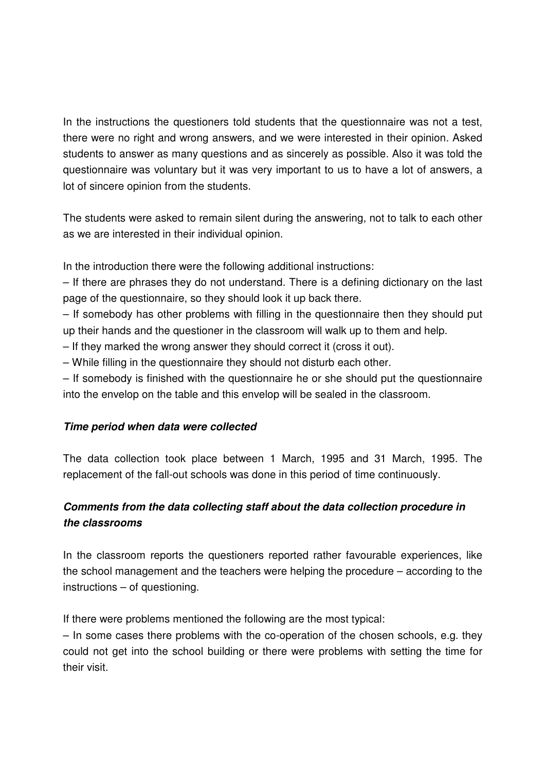In the instructions the questioners told students that the questionnaire was not a test, there were no right and wrong answers, and we were interested in their opinion. Asked students to answer as many questions and as sincerely as possible. Also it was told the questionnaire was voluntary but it was very important to us to have a lot of answers, a lot of sincere opinion from the students.

The students were asked to remain silent during the answering, not to talk to each other as we are interested in their individual opinion.

In the introduction there were the following additional instructions:

– If there are phrases they do not understand. There is a defining dictionary on the last page of the questionnaire, so they should look it up back there.

– If somebody has other problems with filling in the questionnaire then they should put up their hands and the questioner in the classroom will walk up to them and help.

– If they marked the wrong answer they should correct it (cross it out).

– While filling in the questionnaire they should not disturb each other.

– If somebody is finished with the questionnaire he or she should put the questionnaire into the envelop on the table and this envelop will be sealed in the classroom.

## **Time period when data were collected**

The data collection took place between 1 March, 1995 and 31 March, 1995. The replacement of the fall-out schools was done in this period of time continuously.

# **Comments from the data collecting staff about the data collection procedure in the classrooms**

In the classroom reports the questioners reported rather favourable experiences, like the school management and the teachers were helping the procedure – according to the instructions – of questioning.

If there were problems mentioned the following are the most typical:

– In some cases there problems with the co-operation of the chosen schools, e.g. they could not get into the school building or there were problems with setting the time for their visit.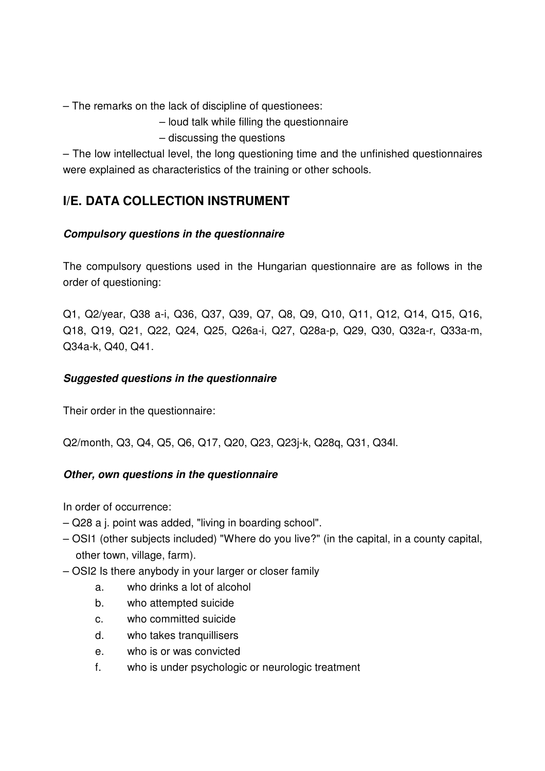– The remarks on the lack of discipline of questionees:

- loud talk while filling the questionnaire
- discussing the questions

– The low intellectual level, the long questioning time and the unfinished questionnaires were explained as characteristics of the training or other schools.

# **I/E. DATA COLLECTION INSTRUMENT**

## **Compulsory questions in the questionnaire**

The compulsory questions used in the Hungarian questionnaire are as follows in the order of questioning:

Q1, Q2/year, Q38 a-i, Q36, Q37, Q39, Q7, Q8, Q9, Q10, Q11, Q12, Q14, Q15, Q16, Q18, Q19, Q21, Q22, Q24, Q25, Q26a-i, Q27, Q28a-p, Q29, Q30, Q32a-r, Q33a-m, Q34a-k, Q40, Q41.

## **Suggested questions in the questionnaire**

Their order in the questionnaire:

Q2/month, Q3, Q4, Q5, Q6, Q17, Q20, Q23, Q23j-k, Q28q, Q31, Q34l.

## **Other, own questions in the questionnaire**

In order of occurrence:

- Q28 a j. point was added, "living in boarding school".
- OSI1 (other subjects included) "Where do you live?" (in the capital, in a county capital, other town, village, farm).
- OSI2 Is there anybody in your larger or closer family
	- a. who drinks a lot of alcohol
	- b. who attempted suicide
	- c. who committed suicide
	- d. who takes tranquillisers
	- e. who is or was convicted
	- f. who is under psychologic or neurologic treatment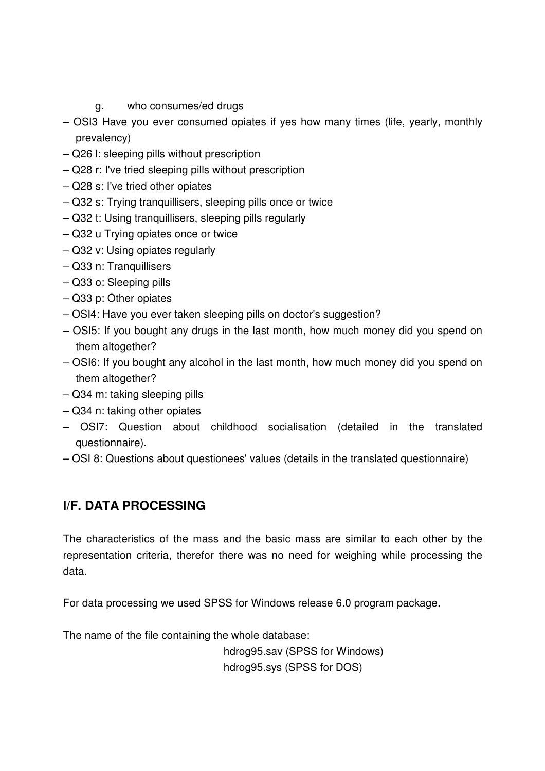- g. who consumes/ed drugs
- OSI3 Have you ever consumed opiates if yes how many times (life, yearly, monthly prevalency)
- Q26 l: sleeping pills without prescription
- Q28 r: I've tried sleeping pills without prescription
- Q28 s: I've tried other opiates
- Q32 s: Trying tranquillisers, sleeping pills once or twice
- Q32 t: Using tranquillisers, sleeping pills regularly
- Q32 u Trying opiates once or twice
- Q32 v: Using opiates regularly
- Q33 n: Tranquillisers
- Q33 o: Sleeping pills
- Q33 p: Other opiates
- OSI4: Have you ever taken sleeping pills on doctor's suggestion?
- OSI5: If you bought any drugs in the last month, how much money did you spend on them altogether?
- OSI6: If you bought any alcohol in the last month, how much money did you spend on them altogether?
- Q34 m: taking sleeping pills
- Q34 n: taking other opiates
- OSI7: Question about childhood socialisation (detailed in the translated questionnaire).
- OSI 8: Questions about questionees' values (details in the translated questionnaire)

# **I/F. DATA PROCESSING**

The characteristics of the mass and the basic mass are similar to each other by the representation criteria, therefor there was no need for weighing while processing the data.

For data processing we used SPSS for Windows release 6.0 program package.

The name of the file containing the whole database:

 hdrog95.sav (SPSS for Windows) hdrog95.sys (SPSS for DOS)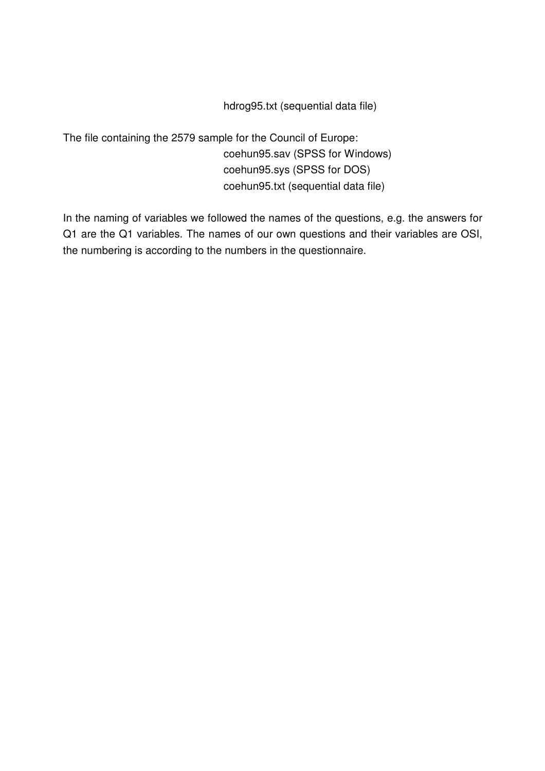hdrog95.txt (sequential data file)

The file containing the 2579 sample for the Council of Europe: coehun95.sav (SPSS for Windows) coehun95.sys (SPSS for DOS) coehun95.txt (sequential data file)

In the naming of variables we followed the names of the questions, e.g. the answers for Q1 are the Q1 variables. The names of our own questions and their variables are OSI, the numbering is according to the numbers in the questionnaire.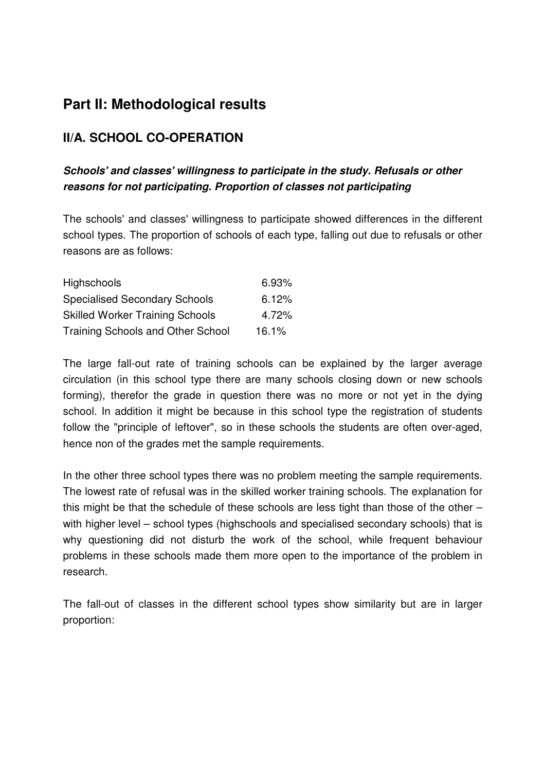# **Part II: Methodological results**

# **II/A. SCHOOL CO-OPERATION**

# **Schools' and classes' willingness to participate in the study. Refusals or other reasons for not participating. Proportion of classes not participating**

The schools' and classes' willingness to participate showed differences in the different school types. The proportion of schools of each type, falling out due to refusals or other reasons are as follows:

| <b>Highschools</b>                       | 6.93% |
|------------------------------------------|-------|
| <b>Specialised Secondary Schools</b>     | 6.12% |
| <b>Skilled Worker Training Schools</b>   | 4.72% |
| <b>Training Schools and Other School</b> | 16.1% |

The large fall-out rate of training schools can be explained by the larger average circulation (in this school type there are many schools closing down or new schools forming), therefor the grade in question there was no more or not yet in the dying school. In addition it might be because in this school type the registration of students follow the "principle of leftover", so in these schools the students are often over-aged, hence non of the grades met the sample requirements.

In the other three school types there was no problem meeting the sample requirements. The lowest rate of refusal was in the skilled worker training schools. The explanation for this might be that the schedule of these schools are less tight than those of the other – with higher level – school types (highschools and specialised secondary schools) that is why questioning did not disturb the work of the school, while frequent behaviour problems in these schools made them more open to the importance of the problem in research.

The fall-out of classes in the different school types show similarity but are in larger proportion: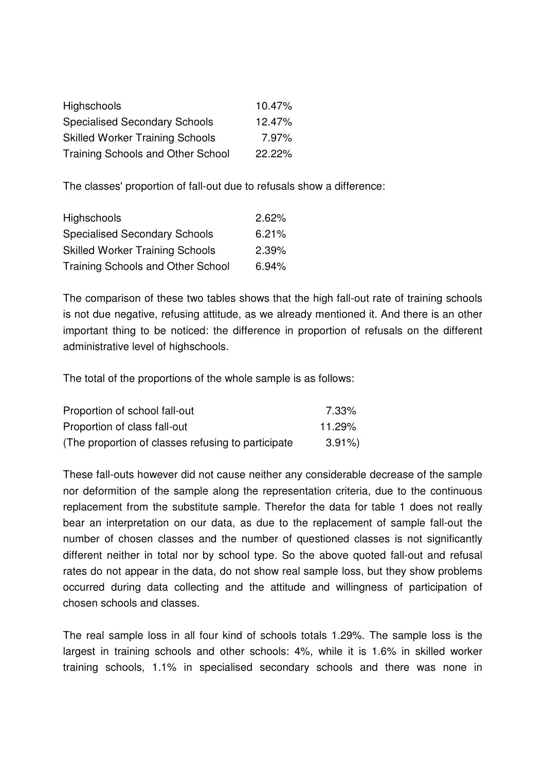| Highschools                              | 10.47%    |
|------------------------------------------|-----------|
| <b>Specialised Secondary Schools</b>     | 12.47%    |
| <b>Skilled Worker Training Schools</b>   | 7.97%     |
| <b>Training Schools and Other School</b> | $22.22\%$ |

The classes' proportion of fall-out due to refusals show a difference:

| Highschools                            | 2.62% |
|----------------------------------------|-------|
| <b>Specialised Secondary Schools</b>   | 6.21% |
| <b>Skilled Worker Training Schools</b> | 2.39% |
| Training Schools and Other School      | 6.94% |

The comparison of these two tables shows that the high fall-out rate of training schools is not due negative, refusing attitude, as we already mentioned it. And there is an other important thing to be noticed: the difference in proportion of refusals on the different administrative level of highschools.

The total of the proportions of the whole sample is as follows:

| Proportion of school fall-out                       | 7.33%    |
|-----------------------------------------------------|----------|
| Proportion of class fall-out                        | 11.29%   |
| (The proportion of classes refusing to participate) | $3.91\%$ |

These fall-outs however did not cause neither any considerable decrease of the sample nor deformition of the sample along the representation criteria, due to the continuous replacement from the substitute sample. Therefor the data for table 1 does not really bear an interpretation on our data, as due to the replacement of sample fall-out the number of chosen classes and the number of questioned classes is not significantly different neither in total nor by school type. So the above quoted fall-out and refusal rates do not appear in the data, do not show real sample loss, but they show problems occurred during data collecting and the attitude and willingness of participation of chosen schools and classes.

The real sample loss in all four kind of schools totals 1.29%. The sample loss is the largest in training schools and other schools: 4%, while it is 1.6% in skilled worker training schools, 1.1% in specialised secondary schools and there was none in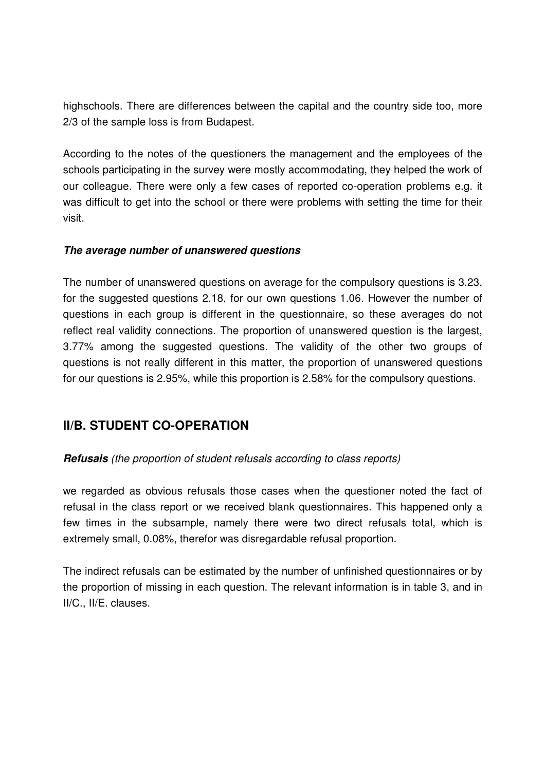highschools. There are differences between the capital and the country side too, more 2/3 of the sample loss is from Budapest.

According to the notes of the questioners the management and the employees of the schools participating in the survey were mostly accommodating, they helped the work of our colleague. There were only a few cases of reported co-operation problems e.g. it was difficult to get into the school or there were problems with setting the time for their visit.

#### **The average number of unanswered questions**

The number of unanswered questions on average for the compulsory questions is 3.23, for the suggested questions 2.18, for our own questions 1.06. However the number of questions in each group is different in the questionnaire, so these averages do not reflect real validity connections. The proportion of unanswered question is the largest, 3.77% among the suggested questions. The validity of the other two groups of questions is not really different in this matter, the proportion of unanswered questions for our questions is 2.95%, while this proportion is 2.58% for the compulsory questions.

# **II/B. STUDENT CO-OPERATION**

## **Refusals** (the proportion of student refusals according to class reports)

we regarded as obvious refusals those cases when the questioner noted the fact of refusal in the class report or we received blank questionnaires. This happened only a few times in the subsample, namely there were two direct refusals total, which is extremely small, 0.08%, therefor was disregardable refusal proportion.

The indirect refusals can be estimated by the number of unfinished questionnaires or by the proportion of missing in each question. The relevant information is in table 3, and in II/C., II/E. clauses.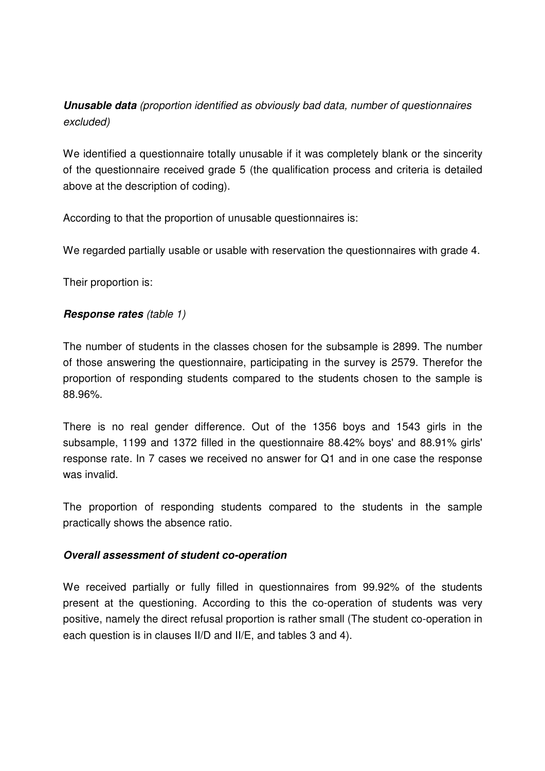# **Unusable data** (proportion identified as obviously bad data, number of questionnaires excluded)

We identified a questionnaire totally unusable if it was completely blank or the sincerity of the questionnaire received grade 5 (the qualification process and criteria is detailed above at the description of coding).

According to that the proportion of unusable questionnaires is:

We regarded partially usable or usable with reservation the questionnaires with grade 4.

Their proportion is:

## **Response rates** (table 1)

The number of students in the classes chosen for the subsample is 2899. The number of those answering the questionnaire, participating in the survey is 2579. Therefor the proportion of responding students compared to the students chosen to the sample is 88.96%.

There is no real gender difference. Out of the 1356 boys and 1543 girls in the subsample, 1199 and 1372 filled in the questionnaire 88.42% boys' and 88.91% girls' response rate. In 7 cases we received no answer for Q1 and in one case the response was invalid.

The proportion of responding students compared to the students in the sample practically shows the absence ratio.

#### **Overall assessment of student co-operation**

We received partially or fully filled in questionnaires from 99.92% of the students present at the questioning. According to this the co-operation of students was very positive, namely the direct refusal proportion is rather small (The student co-operation in each question is in clauses II/D and II/E, and tables 3 and 4).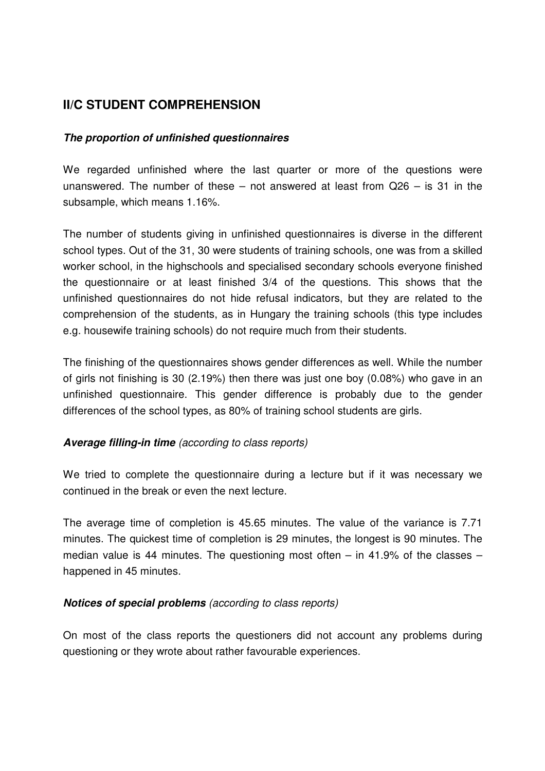# **II/C STUDENT COMPREHENSION**

## **The proportion of unfinished questionnaires**

We regarded unfinished where the last quarter or more of the questions were unanswered. The number of these  $-$  not answered at least from  $Q26 - is 31$  in the subsample, which means 1.16%.

The number of students giving in unfinished questionnaires is diverse in the different school types. Out of the 31, 30 were students of training schools, one was from a skilled worker school, in the highschools and specialised secondary schools everyone finished the questionnaire or at least finished 3/4 of the questions. This shows that the unfinished questionnaires do not hide refusal indicators, but they are related to the comprehension of the students, as in Hungary the training schools (this type includes e.g. housewife training schools) do not require much from their students.

The finishing of the questionnaires shows gender differences as well. While the number of girls not finishing is 30 (2.19%) then there was just one boy (0.08%) who gave in an unfinished questionnaire. This gender difference is probably due to the gender differences of the school types, as 80% of training school students are girls.

## **Average filling-in time** (according to class reports)

We tried to complete the questionnaire during a lecture but if it was necessary we continued in the break or even the next lecture.

The average time of completion is 45.65 minutes. The value of the variance is 7.71 minutes. The quickest time of completion is 29 minutes, the longest is 90 minutes. The median value is 44 minutes. The questioning most often – in 41.9% of the classes – happened in 45 minutes.

#### **Notices of special problems** (according to class reports)

On most of the class reports the questioners did not account any problems during questioning or they wrote about rather favourable experiences.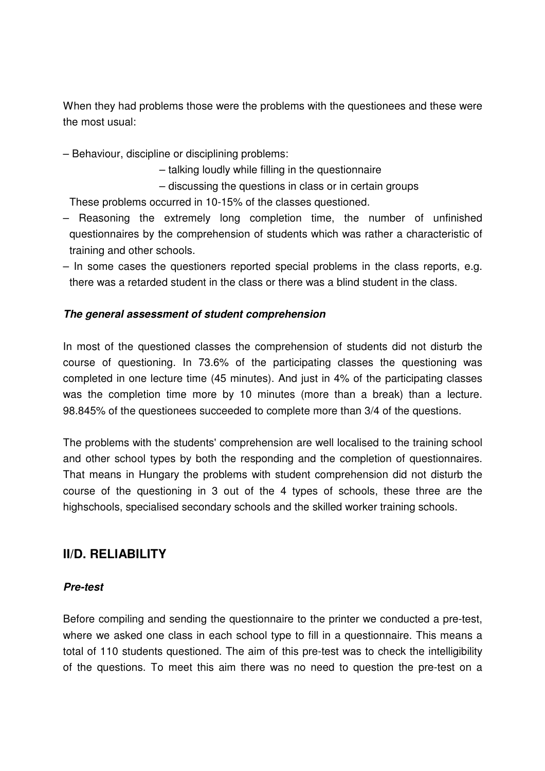When they had problems those were the problems with the questionees and these were the most usual:

- Behaviour, discipline or disciplining problems:
	- talking loudly while filling in the questionnaire
	- discussing the questions in class or in certain groups

These problems occurred in 10-15% of the classes questioned.

- Reasoning the extremely long completion time, the number of unfinished questionnaires by the comprehension of students which was rather a characteristic of training and other schools.
- In some cases the questioners reported special problems in the class reports, e.g. there was a retarded student in the class or there was a blind student in the class.

## **The general assessment of student comprehension**

In most of the questioned classes the comprehension of students did not disturb the course of questioning. In 73.6% of the participating classes the questioning was completed in one lecture time (45 minutes). And just in 4% of the participating classes was the completion time more by 10 minutes (more than a break) than a lecture. 98.845% of the questionees succeeded to complete more than 3/4 of the questions.

The problems with the students' comprehension are well localised to the training school and other school types by both the responding and the completion of questionnaires. That means in Hungary the problems with student comprehension did not disturb the course of the questioning in 3 out of the 4 types of schools, these three are the highschools, specialised secondary schools and the skilled worker training schools.

## **II/D. RELIABILITY**

#### **Pre-test**

Before compiling and sending the questionnaire to the printer we conducted a pre-test, where we asked one class in each school type to fill in a questionnaire. This means a total of 110 students questioned. The aim of this pre-test was to check the intelligibility of the questions. To meet this aim there was no need to question the pre-test on a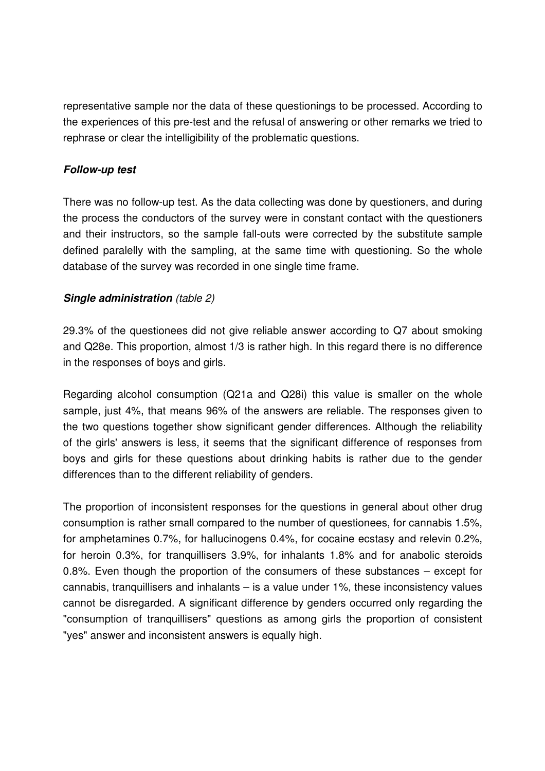representative sample nor the data of these questionings to be processed. According to the experiences of this pre-test and the refusal of answering or other remarks we tried to rephrase or clear the intelligibility of the problematic questions.

## **Follow-up test**

There was no follow-up test. As the data collecting was done by questioners, and during the process the conductors of the survey were in constant contact with the questioners and their instructors, so the sample fall-outs were corrected by the substitute sample defined paralelly with the sampling, at the same time with questioning. So the whole database of the survey was recorded in one single time frame.

## **Single administration** (table 2)

29.3% of the questionees did not give reliable answer according to Q7 about smoking and Q28e. This proportion, almost 1/3 is rather high. In this regard there is no difference in the responses of boys and girls.

Regarding alcohol consumption (Q21a and Q28i) this value is smaller on the whole sample, just 4%, that means 96% of the answers are reliable. The responses given to the two questions together show significant gender differences. Although the reliability of the girls' answers is less, it seems that the significant difference of responses from boys and girls for these questions about drinking habits is rather due to the gender differences than to the different reliability of genders.

The proportion of inconsistent responses for the questions in general about other drug consumption is rather small compared to the number of questionees, for cannabis 1.5%, for amphetamines 0.7%, for hallucinogens 0.4%, for cocaine ecstasy and relevin 0.2%, for heroin 0.3%, for tranquillisers 3.9%, for inhalants 1.8% and for anabolic steroids 0.8%. Even though the proportion of the consumers of these substances – except for cannabis, tranquillisers and inhalants – is a value under 1%, these inconsistency values cannot be disregarded. A significant difference by genders occurred only regarding the "consumption of tranquillisers" questions as among girls the proportion of consistent "yes" answer and inconsistent answers is equally high.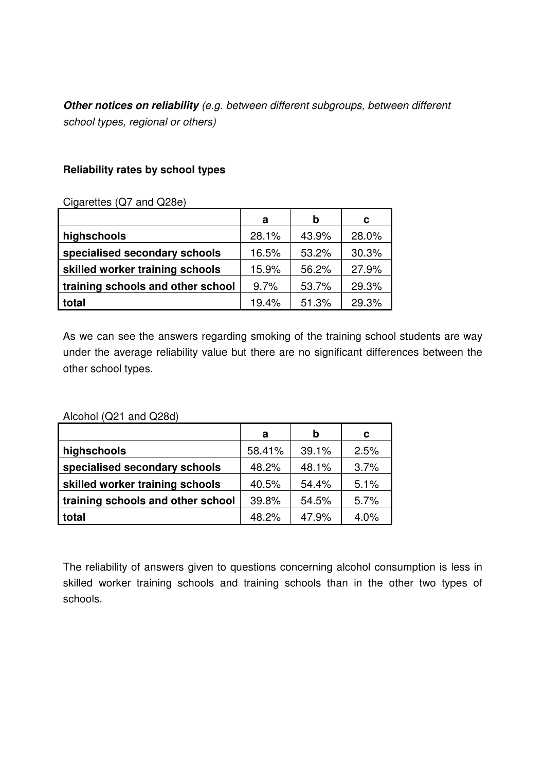**Other notices on reliability** (e.g. between different subgroups, between different school types, regional or others)

#### **Reliability rates by school types**

Cigarettes (Q7 and Q28e)

|                                   | a     | b     | C     |
|-----------------------------------|-------|-------|-------|
| highschools                       | 28.1% | 43.9% | 28.0% |
| specialised secondary schools     | 16.5% | 53.2% | 30.3% |
| skilled worker training schools   | 15.9% | 56.2% | 27.9% |
| training schools and other school | 9.7%  | 53.7% | 29.3% |
| total                             | 19.4% | 51.3% | 29.3% |

As we can see the answers regarding smoking of the training school students are way under the average reliability value but there are no significant differences between the other school types.

Alcohol (Q21 and Q28d)

|                                   | a      | b     | С    |
|-----------------------------------|--------|-------|------|
| highschools                       | 58.41% | 39.1% | 2.5% |
| specialised secondary schools     | 48.2%  | 48.1% | 3.7% |
| skilled worker training schools   | 40.5%  | 54.4% | 5.1% |
| training schools and other school | 39.8%  | 54.5% | 5.7% |
| total                             | 48.2%  | 47.9% | 4.0% |

The reliability of answers given to questions concerning alcohol consumption is less in skilled worker training schools and training schools than in the other two types of schools.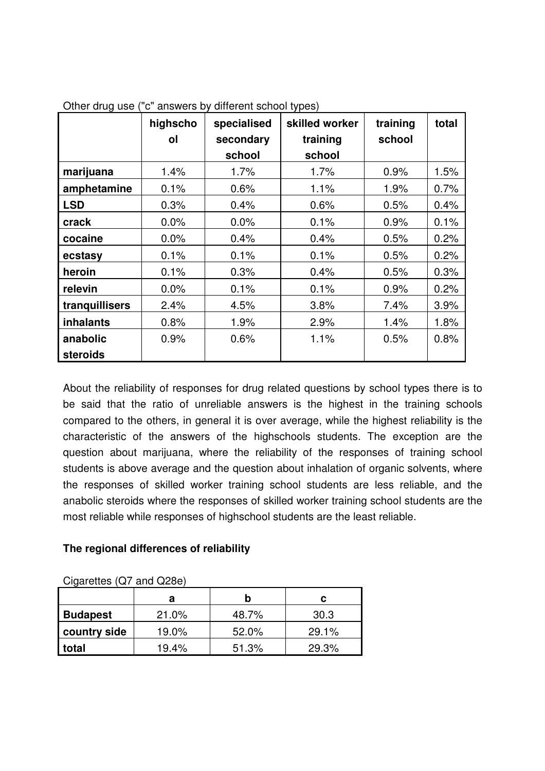|                | highscho<br>ol | specialised<br>secondary<br>school | skilled worker<br>training<br>school | training<br>school | total |
|----------------|----------------|------------------------------------|--------------------------------------|--------------------|-------|
| marijuana      | 1.4%           | $1.7\%$                            | 1.7%                                 | 0.9%               | 1.5%  |
| amphetamine    | 0.1%           | 0.6%                               | 1.1%                                 | 1.9%               | 0.7%  |
| <b>LSD</b>     | 0.3%           | 0.4%                               | 0.6%                                 | 0.5%               | 0.4%  |
| crack          | $0.0\%$        | $0.0\%$                            | 0.1%                                 | 0.9%               | 0.1%  |
| cocaine        | $0.0\%$        | 0.4%                               | 0.4%                                 | 0.5%               | 0.2%  |
| ecstasy        | 0.1%           | 0.1%                               | 0.1%                                 | 0.5%               | 0.2%  |
| heroin         | 0.1%           | 0.3%                               | 0.4%                                 | 0.5%               | 0.3%  |
| relevin        | 0.0%           | 0.1%                               | 0.1%                                 | 0.9%               | 0.2%  |
| tranquillisers | 2.4%           | 4.5%                               | 3.8%                                 | 7.4%               | 3.9%  |
| inhalants      | 0.8%           | 1.9%                               | 2.9%                                 | 1.4%               | 1.8%  |
| anabolic       | 0.9%           | 0.6%                               | 1.1%                                 | 0.5%               | 0.8%  |
| steroids       |                |                                    |                                      |                    |       |

Other drug use ("c" answers by different school types)

About the reliability of responses for drug related questions by school types there is to be said that the ratio of unreliable answers is the highest in the training schools compared to the others, in general it is over average, while the highest reliability is the characteristic of the answers of the highschools students. The exception are the question about marijuana, where the reliability of the responses of training school students is above average and the question about inhalation of organic solvents, where the responses of skilled worker training school students are less reliable, and the anabolic steroids where the responses of skilled worker training school students are the most reliable while responses of highschool students are the least reliable.

## **The regional differences of reliability**

| $\frac{1}{2}$ |       |       |       |
|---------------|-------|-------|-------|
|               | а     |       | C     |
| Budapest      | 21.0% | 48.7% | 30.3  |
| country side  | 19.0% | 52.0% | 29.1% |
| total         | 19.4% | 51.3% | 29.3% |

 $C\text{inarties}$  ( $\Omega$ 7 and  $\Omega$ 28e)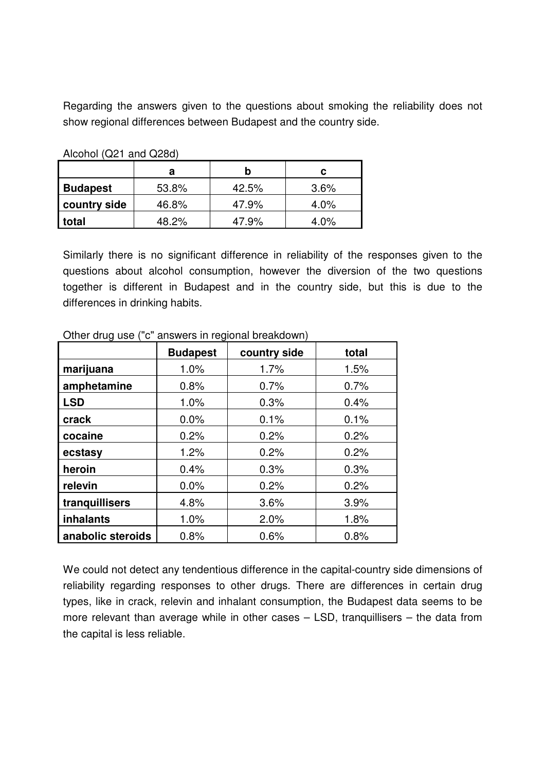Regarding the answers given to the questions about smoking the reliability does not show regional differences between Budapest and the country side.

| $1$ $1001101$ $10211$ and $022007$ |       |       |         |
|------------------------------------|-------|-------|---------|
|                                    | а     |       | c       |
| <b>Budapest</b>                    | 53.8% | 42.5% | $3.6\%$ |
| country side                       | 46.8% | 47.9% | 4.0%    |
| total                              | 48.2% | 47.9% | 4.0%    |

Alcohol (Q21 and Q28d)

Similarly there is no significant difference in reliability of the responses given to the questions about alcohol consumption, however the diversion of the two questions together is different in Budapest and in the country side, but this is due to the differences in drinking habits.

|                   | <b>Budapest</b> | country side | total |
|-------------------|-----------------|--------------|-------|
| marijuana         | 1.0%            | 1.7%         | 1.5%  |
| amphetamine       | 0.8%            | 0.7%         | 0.7%  |
| <b>LSD</b>        | 1.0%            | 0.3%         | 0.4%  |
| crack             | 0.0%            | 0.1%         | 0.1%  |
| cocaine           | 0.2%            | 0.2%         | 0.2%  |
| ecstasy           | 1.2%            | 0.2%         | 0.2%  |
| heroin            | 0.4%            | 0.3%         | 0.3%  |
| relevin           | 0.0%            | 0.2%         | 0.2%  |
| tranquillisers    | 4.8%            | 3.6%         | 3.9%  |
| <b>inhalants</b>  | 1.0%            | 2.0%         | 1.8%  |
| anabolic steroids | 0.8%            | 0.6%         | 0.8%  |

Other drug use ("c" answers in regional breakdown)

We could not detect any tendentious difference in the capital-country side dimensions of reliability regarding responses to other drugs. There are differences in certain drug types, like in crack, relevin and inhalant consumption, the Budapest data seems to be more relevant than average while in other cases – LSD, tranquillisers – the data from the capital is less reliable.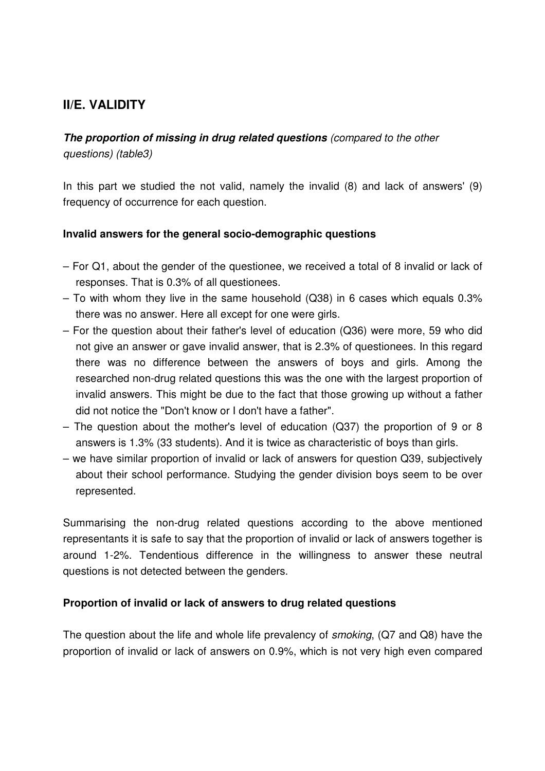# **II/E. VALIDITY**

**The proportion of missing in drug related questions** (compared to the other questions) (table3)

In this part we studied the not valid, namely the invalid (8) and lack of answers' (9) frequency of occurrence for each question.

## **Invalid answers for the general socio-demographic questions**

- For Q1, about the gender of the questionee, we received a total of 8 invalid or lack of responses. That is 0.3% of all questionees.
- To with whom they live in the same household (Q38) in 6 cases which equals 0.3% there was no answer. Here all except for one were girls.
- For the question about their father's level of education (Q36) were more, 59 who did not give an answer or gave invalid answer, that is 2.3% of questionees. In this regard there was no difference between the answers of boys and girls. Among the researched non-drug related questions this was the one with the largest proportion of invalid answers. This might be due to the fact that those growing up without a father did not notice the "Don't know or I don't have a father".
- The question about the mother's level of education (Q37) the proportion of 9 or 8 answers is 1.3% (33 students). And it is twice as characteristic of boys than girls.
- we have similar proportion of invalid or lack of answers for question Q39, subjectively about their school performance. Studying the gender division boys seem to be over represented.

Summarising the non-drug related questions according to the above mentioned representants it is safe to say that the proportion of invalid or lack of answers together is around 1-2%. Tendentious difference in the willingness to answer these neutral questions is not detected between the genders.

#### **Proportion of invalid or lack of answers to drug related questions**

The question about the life and whole life prevalency of smoking, (Q7 and Q8) have the proportion of invalid or lack of answers on 0.9%, which is not very high even compared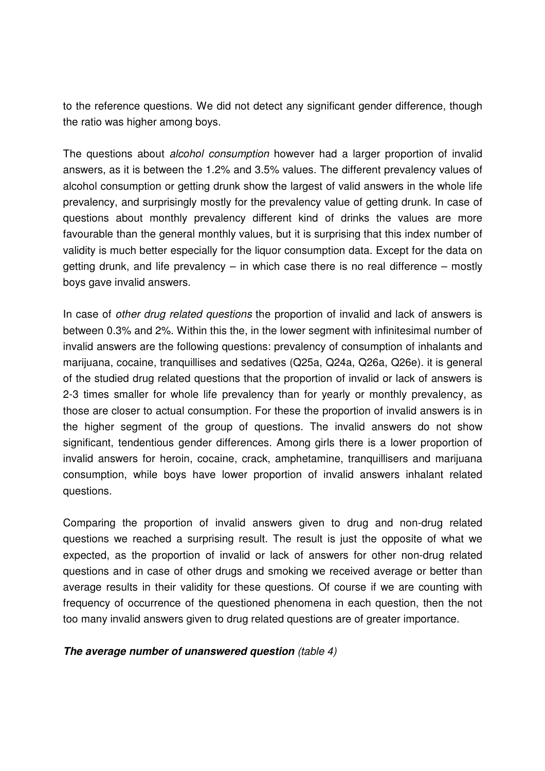to the reference questions. We did not detect any significant gender difference, though the ratio was higher among boys.

The questions about *alcohol consumption* however had a larger proportion of invalid answers, as it is between the 1.2% and 3.5% values. The different prevalency values of alcohol consumption or getting drunk show the largest of valid answers in the whole life prevalency, and surprisingly mostly for the prevalency value of getting drunk. In case of questions about monthly prevalency different kind of drinks the values are more favourable than the general monthly values, but it is surprising that this index number of validity is much better especially for the liquor consumption data. Except for the data on getting drunk, and life prevalency  $-$  in which case there is no real difference  $-$  mostly boys gave invalid answers.

In case of other drug related questions the proportion of invalid and lack of answers is between 0.3% and 2%. Within this the, in the lower segment with infinitesimal number of invalid answers are the following questions: prevalency of consumption of inhalants and marijuana, cocaine, tranquillises and sedatives (Q25a, Q24a, Q26a, Q26e). it is general of the studied drug related questions that the proportion of invalid or lack of answers is 2-3 times smaller for whole life prevalency than for yearly or monthly prevalency, as those are closer to actual consumption. For these the proportion of invalid answers is in the higher segment of the group of questions. The invalid answers do not show significant, tendentious gender differences. Among girls there is a lower proportion of invalid answers for heroin, cocaine, crack, amphetamine, tranquillisers and marijuana consumption, while boys have lower proportion of invalid answers inhalant related questions.

Comparing the proportion of invalid answers given to drug and non-drug related questions we reached a surprising result. The result is just the opposite of what we expected, as the proportion of invalid or lack of answers for other non-drug related questions and in case of other drugs and smoking we received average or better than average results in their validity for these questions. Of course if we are counting with frequency of occurrence of the questioned phenomena in each question, then the not too many invalid answers given to drug related questions are of greater importance.

**The average number of unanswered question** (table 4)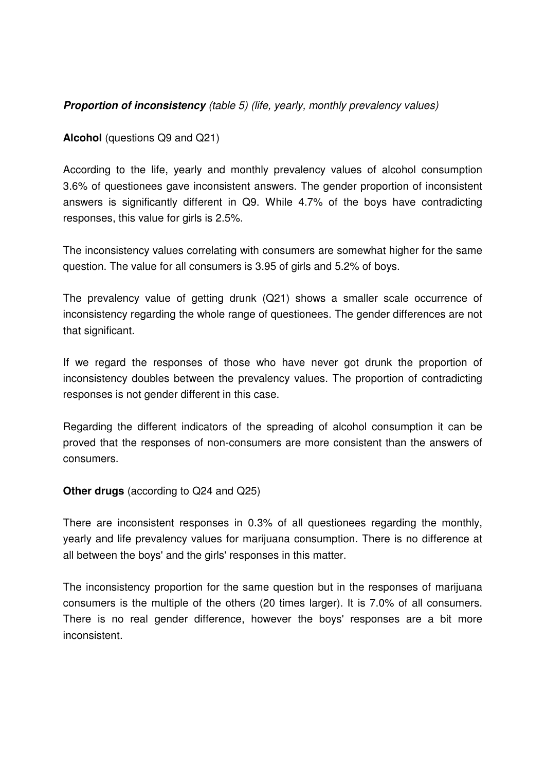## **Proportion of inconsistency** (table 5) (life, yearly, monthly prevalency values)

**Alcohol** (questions Q9 and Q21)

According to the life, yearly and monthly prevalency values of alcohol consumption 3.6% of questionees gave inconsistent answers. The gender proportion of inconsistent answers is significantly different in Q9. While 4.7% of the boys have contradicting responses, this value for girls is 2.5%.

The inconsistency values correlating with consumers are somewhat higher for the same question. The value for all consumers is 3.95 of girls and 5.2% of boys.

The prevalency value of getting drunk (Q21) shows a smaller scale occurrence of inconsistency regarding the whole range of questionees. The gender differences are not that significant.

If we regard the responses of those who have never got drunk the proportion of inconsistency doubles between the prevalency values. The proportion of contradicting responses is not gender different in this case.

Regarding the different indicators of the spreading of alcohol consumption it can be proved that the responses of non-consumers are more consistent than the answers of consumers.

**Other drugs** (according to Q24 and Q25)

There are inconsistent responses in 0.3% of all questionees regarding the monthly, yearly and life prevalency values for marijuana consumption. There is no difference at all between the boys' and the girls' responses in this matter.

The inconsistency proportion for the same question but in the responses of marijuana consumers is the multiple of the others (20 times larger). It is 7.0% of all consumers. There is no real gender difference, however the boys' responses are a bit more inconsistent.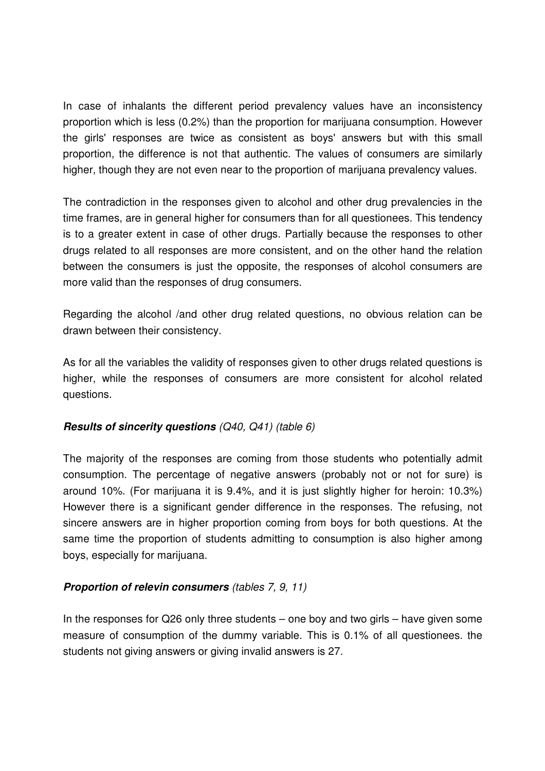In case of inhalants the different period prevalency values have an inconsistency proportion which is less (0.2%) than the proportion for marijuana consumption. However the girls' responses are twice as consistent as boys' answers but with this small proportion, the difference is not that authentic. The values of consumers are similarly higher, though they are not even near to the proportion of marijuana prevalency values.

The contradiction in the responses given to alcohol and other drug prevalencies in the time frames, are in general higher for consumers than for all questionees. This tendency is to a greater extent in case of other drugs. Partially because the responses to other drugs related to all responses are more consistent, and on the other hand the relation between the consumers is just the opposite, the responses of alcohol consumers are more valid than the responses of drug consumers.

Regarding the alcohol /and other drug related questions, no obvious relation can be drawn between their consistency.

As for all the variables the validity of responses given to other drugs related questions is higher, while the responses of consumers are more consistent for alcohol related questions.

## **Results of sincerity questions** (Q40, Q41) (table 6)

The majority of the responses are coming from those students who potentially admit consumption. The percentage of negative answers (probably not or not for sure) is around 10%. (For marijuana it is 9.4%, and it is just slightly higher for heroin: 10.3%) However there is a significant gender difference in the responses. The refusing, not sincere answers are in higher proportion coming from boys for both questions. At the same time the proportion of students admitting to consumption is also higher among boys, especially for marijuana.

## **Proportion of relevin consumers** (tables 7, 9, 11)

In the responses for  $Q26$  only three students – one boy and two girls – have given some measure of consumption of the dummy variable. This is 0.1% of all questionees. the students not giving answers or giving invalid answers is 27.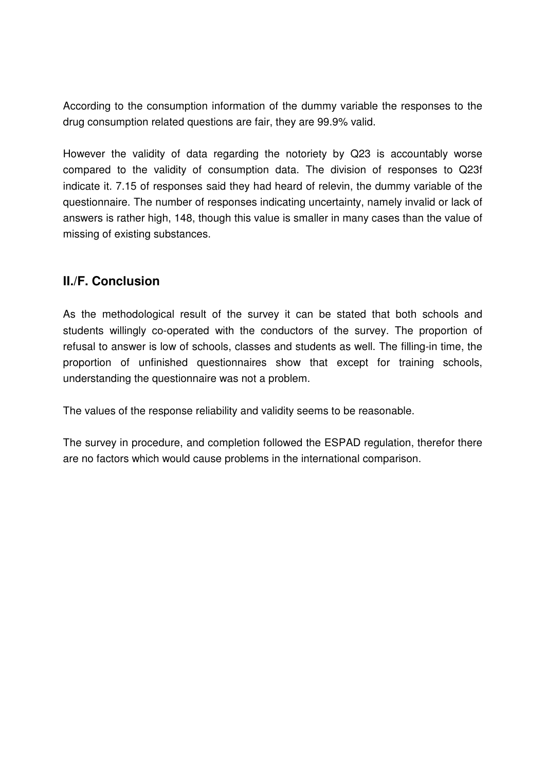According to the consumption information of the dummy variable the responses to the drug consumption related questions are fair, they are 99.9% valid.

However the validity of data regarding the notoriety by Q23 is accountably worse compared to the validity of consumption data. The division of responses to Q23f indicate it. 7.15 of responses said they had heard of relevin, the dummy variable of the questionnaire. The number of responses indicating uncertainty, namely invalid or lack of answers is rather high, 148, though this value is smaller in many cases than the value of missing of existing substances.

# **II./F. Conclusion**

As the methodological result of the survey it can be stated that both schools and students willingly co-operated with the conductors of the survey. The proportion of refusal to answer is low of schools, classes and students as well. The filling-in time, the proportion of unfinished questionnaires show that except for training schools, understanding the questionnaire was not a problem.

The values of the response reliability and validity seems to be reasonable.

The survey in procedure, and completion followed the ESPAD regulation, therefor there are no factors which would cause problems in the international comparison.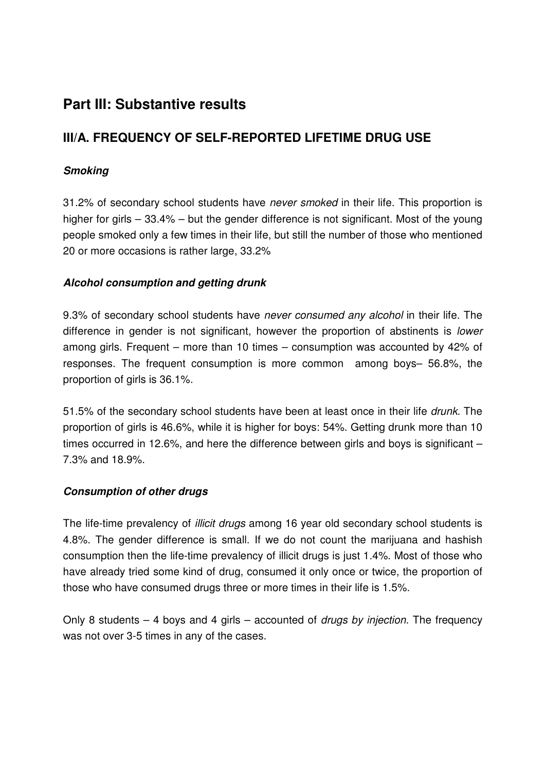# **Part III: Substantive results**

# **III/A. FREQUENCY OF SELF-REPORTED LIFETIME DRUG USE**

## **Smoking**

31.2% of secondary school students have never smoked in their life. This proportion is higher for girls – 33.4% – but the gender difference is not significant. Most of the young people smoked only a few times in their life, but still the number of those who mentioned 20 or more occasions is rather large, 33.2%

## **Alcohol consumption and getting drunk**

9.3% of secondary school students have never consumed any alcohol in their life. The difference in gender is not significant, however the proportion of abstinents is *lower* among girls. Frequent – more than 10 times – consumption was accounted by 42% of responses. The frequent consumption is more common among boys– 56.8%, the proportion of girls is 36.1%.

51.5% of the secondary school students have been at least once in their life drunk. The proportion of girls is 46.6%, while it is higher for boys: 54%. Getting drunk more than 10 times occurred in 12.6%, and here the difference between girls and boys is significant – 7.3% and 18.9%.

## **Consumption of other drugs**

The life-time prevalency of *illicit drugs* among 16 year old secondary school students is 4.8%. The gender difference is small. If we do not count the marijuana and hashish consumption then the life-time prevalency of illicit drugs is just 1.4%. Most of those who have already tried some kind of drug, consumed it only once or twice, the proportion of those who have consumed drugs three or more times in their life is 1.5%.

Only 8 students  $-$  4 boys and 4 girls  $-$  accounted of *drugs by injection*. The frequency was not over 3-5 times in any of the cases.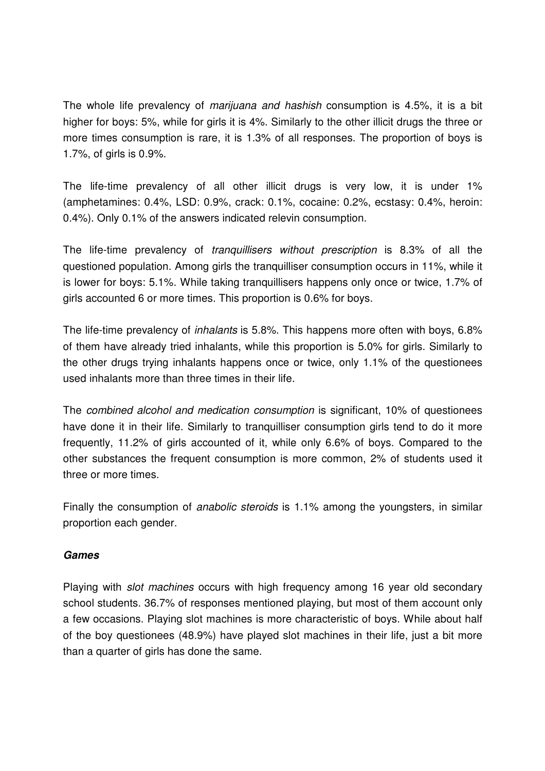The whole life prevalency of *marijuana and hashish* consumption is 4.5%, it is a bit higher for boys: 5%, while for girls it is 4%. Similarly to the other illicit drugs the three or more times consumption is rare, it is 1.3% of all responses. The proportion of boys is 1.7%, of girls is 0.9%.

The life-time prevalency of all other illicit drugs is very low, it is under 1% (amphetamines: 0.4%, LSD: 0.9%, crack: 0.1%, cocaine: 0.2%, ecstasy: 0.4%, heroin: 0.4%). Only 0.1% of the answers indicated relevin consumption.

The life-time prevalency of tranquillisers without prescription is 8.3% of all the questioned population. Among girls the tranquilliser consumption occurs in 11%, while it is lower for boys: 5.1%. While taking tranquillisers happens only once or twice, 1.7% of girls accounted 6 or more times. This proportion is 0.6% for boys.

The life-time prevalency of inhalants is 5.8%. This happens more often with boys, 6.8% of them have already tried inhalants, while this proportion is 5.0% for girls. Similarly to the other drugs trying inhalants happens once or twice, only 1.1% of the questionees used inhalants more than three times in their life.

The combined alcohol and medication consumption is significant, 10% of questionees have done it in their life. Similarly to tranquilliser consumption girls tend to do it more frequently, 11.2% of girls accounted of it, while only 6.6% of boys. Compared to the other substances the frequent consumption is more common, 2% of students used it three or more times.

Finally the consumption of *anabolic steroids* is 1.1% among the youngsters, in similar proportion each gender.

## **Games**

Playing with *slot machines* occurs with high frequency among 16 year old secondary school students. 36.7% of responses mentioned playing, but most of them account only a few occasions. Playing slot machines is more characteristic of boys. While about half of the boy questionees (48.9%) have played slot machines in their life, just a bit more than a quarter of girls has done the same.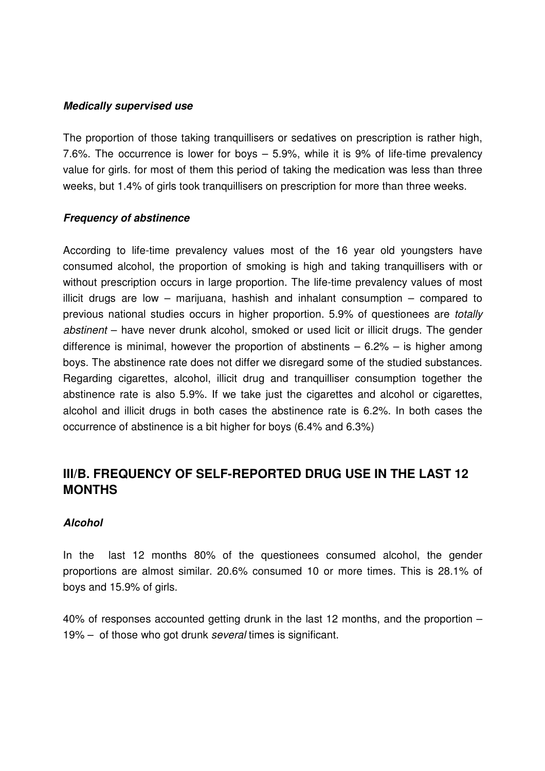#### **Medically supervised use**

The proportion of those taking tranquillisers or sedatives on prescription is rather high, 7.6%. The occurrence is lower for boys – 5.9%, while it is 9% of life-time prevalency value for girls. for most of them this period of taking the medication was less than three weeks, but 1.4% of girls took tranquillisers on prescription for more than three weeks.

#### **Frequency of abstinence**

According to life-time prevalency values most of the 16 year old youngsters have consumed alcohol, the proportion of smoking is high and taking tranquillisers with or without prescription occurs in large proportion. The life-time prevalency values of most illicit drugs are low – marijuana, hashish and inhalant consumption – compared to previous national studies occurs in higher proportion. 5.9% of questionees are totally abstinent – have never drunk alcohol, smoked or used licit or illicit drugs. The gender difference is minimal, however the proportion of abstinents  $-6.2%$  – is higher among boys. The abstinence rate does not differ we disregard some of the studied substances. Regarding cigarettes, alcohol, illicit drug and tranquilliser consumption together the abstinence rate is also 5.9%. If we take just the cigarettes and alcohol or cigarettes, alcohol and illicit drugs in both cases the abstinence rate is 6.2%. In both cases the occurrence of abstinence is a bit higher for boys (6.4% and 6.3%)

# **III/B. FREQUENCY OF SELF-REPORTED DRUG USE IN THE LAST 12 MONTHS**

#### **Alcohol**

In the last 12 months 80% of the questionees consumed alcohol, the gender proportions are almost similar. 20.6% consumed 10 or more times. This is 28.1% of boys and 15.9% of girls.

40% of responses accounted getting drunk in the last 12 months, and the proportion – 19% – of those who got drunk several times is significant.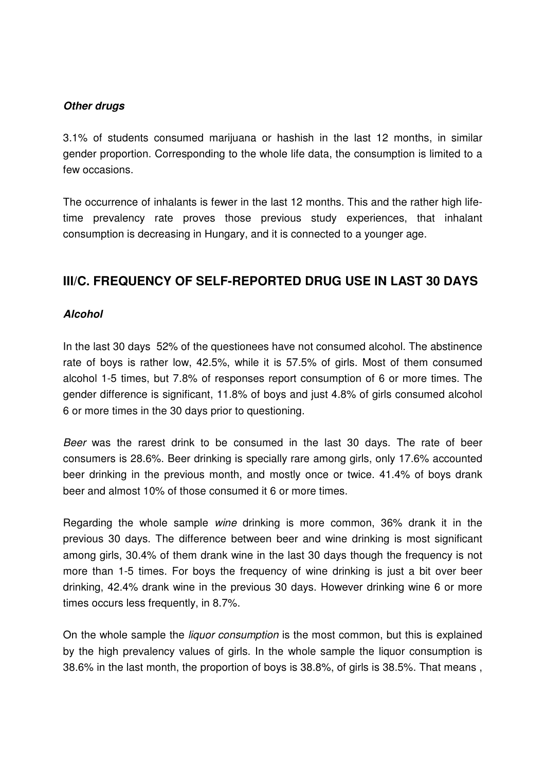#### **Other drugs**

3.1% of students consumed marijuana or hashish in the last 12 months, in similar gender proportion. Corresponding to the whole life data, the consumption is limited to a few occasions.

The occurrence of inhalants is fewer in the last 12 months. This and the rather high lifetime prevalency rate proves those previous study experiences, that inhalant consumption is decreasing in Hungary, and it is connected to a younger age.

# **III/C. FREQUENCY OF SELF-REPORTED DRUG USE IN LAST 30 DAYS**

## **Alcohol**

In the last 30 days 52% of the questionees have not consumed alcohol. The abstinence rate of boys is rather low, 42.5%, while it is 57.5% of girls. Most of them consumed alcohol 1-5 times, but 7.8% of responses report consumption of 6 or more times. The gender difference is significant, 11.8% of boys and just 4.8% of girls consumed alcohol 6 or more times in the 30 days prior to questioning.

Beer was the rarest drink to be consumed in the last 30 days. The rate of beer consumers is 28.6%. Beer drinking is specially rare among girls, only 17.6% accounted beer drinking in the previous month, and mostly once or twice. 41.4% of boys drank beer and almost 10% of those consumed it 6 or more times.

Regarding the whole sample wine drinking is more common, 36% drank it in the previous 30 days. The difference between beer and wine drinking is most significant among girls, 30.4% of them drank wine in the last 30 days though the frequency is not more than 1-5 times. For boys the frequency of wine drinking is just a bit over beer drinking, 42.4% drank wine in the previous 30 days. However drinking wine 6 or more times occurs less frequently, in 8.7%.

On the whole sample the liquor consumption is the most common, but this is explained by the high prevalency values of girls. In the whole sample the liquor consumption is 38.6% in the last month, the proportion of boys is 38.8%, of girls is 38.5%. That means ,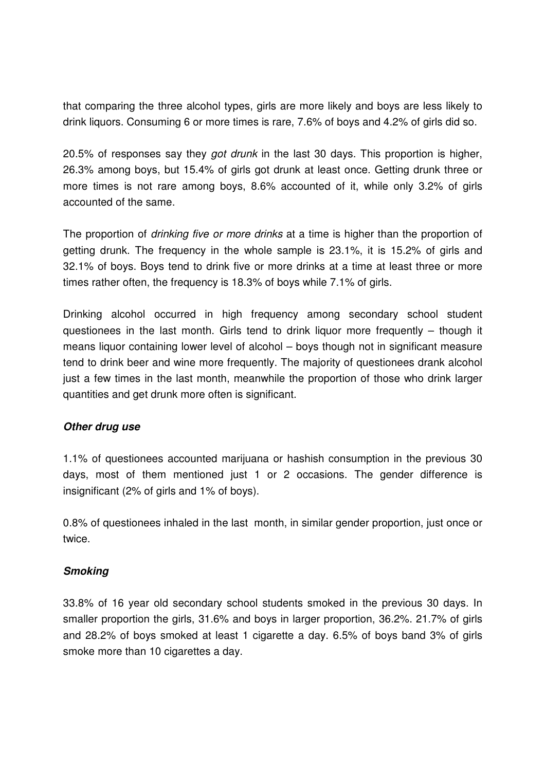that comparing the three alcohol types, girls are more likely and boys are less likely to drink liquors. Consuming 6 or more times is rare, 7.6% of boys and 4.2% of girls did so.

20.5% of responses say they got drunk in the last 30 days. This proportion is higher, 26.3% among boys, but 15.4% of girls got drunk at least once. Getting drunk three or more times is not rare among boys, 8.6% accounted of it, while only 3.2% of girls accounted of the same.

The proportion of *drinking five or more drinks* at a time is higher than the proportion of getting drunk. The frequency in the whole sample is 23.1%, it is 15.2% of girls and 32.1% of boys. Boys tend to drink five or more drinks at a time at least three or more times rather often, the frequency is 18.3% of boys while 7.1% of girls.

Drinking alcohol occurred in high frequency among secondary school student questionees in the last month. Girls tend to drink liquor more frequently – though it means liquor containing lower level of alcohol – boys though not in significant measure tend to drink beer and wine more frequently. The majority of questionees drank alcohol just a few times in the last month, meanwhile the proportion of those who drink larger quantities and get drunk more often is significant.

#### **Other drug use**

1.1% of questionees accounted marijuana or hashish consumption in the previous 30 days, most of them mentioned just 1 or 2 occasions. The gender difference is insignificant (2% of girls and 1% of boys).

0.8% of questionees inhaled in the last month, in similar gender proportion, just once or twice.

#### **Smoking**

33.8% of 16 year old secondary school students smoked in the previous 30 days. In smaller proportion the girls, 31.6% and boys in larger proportion, 36.2%. 21.7% of girls and 28.2% of boys smoked at least 1 cigarette a day. 6.5% of boys band 3% of girls smoke more than 10 cigarettes a day.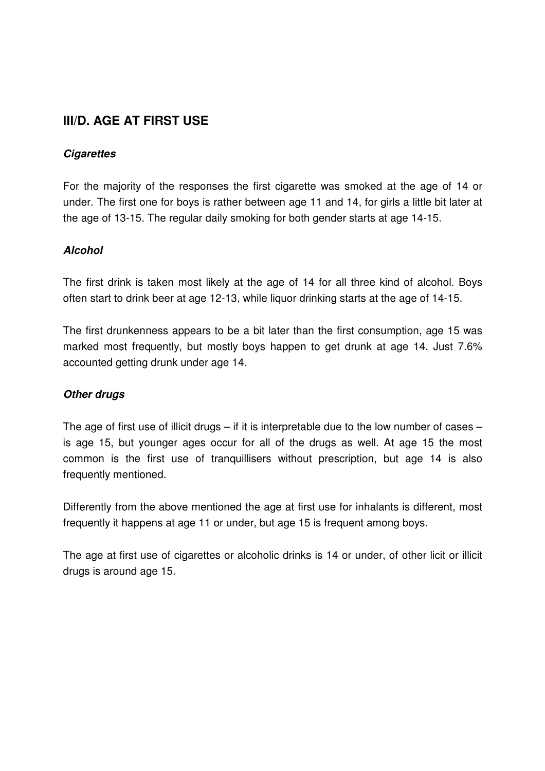# **III/D. AGE AT FIRST USE**

## **Cigarettes**

For the majority of the responses the first cigarette was smoked at the age of 14 or under. The first one for boys is rather between age 11 and 14, for girls a little bit later at the age of 13-15. The regular daily smoking for both gender starts at age 14-15.

## **Alcohol**

The first drink is taken most likely at the age of 14 for all three kind of alcohol. Boys often start to drink beer at age 12-13, while liquor drinking starts at the age of 14-15.

The first drunkenness appears to be a bit later than the first consumption, age 15 was marked most frequently, but mostly boys happen to get drunk at age 14. Just 7.6% accounted getting drunk under age 14.

#### **Other drugs**

The age of first use of illicit drugs – if it is interpretable due to the low number of cases – is age 15, but younger ages occur for all of the drugs as well. At age 15 the most common is the first use of tranquillisers without prescription, but age 14 is also frequently mentioned.

Differently from the above mentioned the age at first use for inhalants is different, most frequently it happens at age 11 or under, but age 15 is frequent among boys.

The age at first use of cigarettes or alcoholic drinks is 14 or under, of other licit or illicit drugs is around age 15.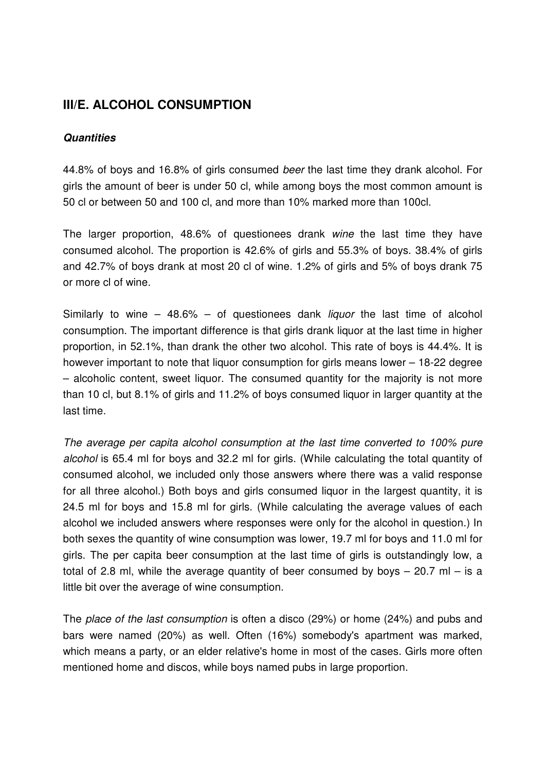# **III/E. ALCOHOL CONSUMPTION**

#### **Quantities**

44.8% of boys and 16.8% of girls consumed beer the last time they drank alcohol. For girls the amount of beer is under 50 cl, while among boys the most common amount is 50 cl or between 50 and 100 cl, and more than 10% marked more than 100cl.

The larger proportion, 48.6% of questionees drank wine the last time they have consumed alcohol. The proportion is 42.6% of girls and 55.3% of boys. 38.4% of girls and 42.7% of boys drank at most 20 cl of wine. 1.2% of girls and 5% of boys drank 75 or more cl of wine.

Similarly to wine  $-$  48.6%  $-$  of questionees dank *liquor* the last time of alcohol consumption. The important difference is that girls drank liquor at the last time in higher proportion, in 52.1%, than drank the other two alcohol. This rate of boys is 44.4%. It is however important to note that liquor consumption for girls means lower – 18-22 degree – alcoholic content, sweet liquor. The consumed quantity for the majority is not more than 10 cl, but 8.1% of girls and 11.2% of boys consumed liquor in larger quantity at the last time.

The average per capita alcohol consumption at the last time converted to 100% pure alcohol is 65.4 ml for boys and 32.2 ml for girls. (While calculating the total quantity of consumed alcohol, we included only those answers where there was a valid response for all three alcohol.) Both boys and girls consumed liquor in the largest quantity, it is 24.5 ml for boys and 15.8 ml for girls. (While calculating the average values of each alcohol we included answers where responses were only for the alcohol in question.) In both sexes the quantity of wine consumption was lower, 19.7 ml for boys and 11.0 ml for girls. The per capita beer consumption at the last time of girls is outstandingly low, a total of 2.8 ml, while the average quantity of beer consumed by boys  $-$  20.7 ml  $-$  is a little bit over the average of wine consumption.

The place of the last consumption is often a disco (29%) or home (24%) and pubs and bars were named (20%) as well. Often (16%) somebody's apartment was marked, which means a party, or an elder relative's home in most of the cases. Girls more often mentioned home and discos, while boys named pubs in large proportion.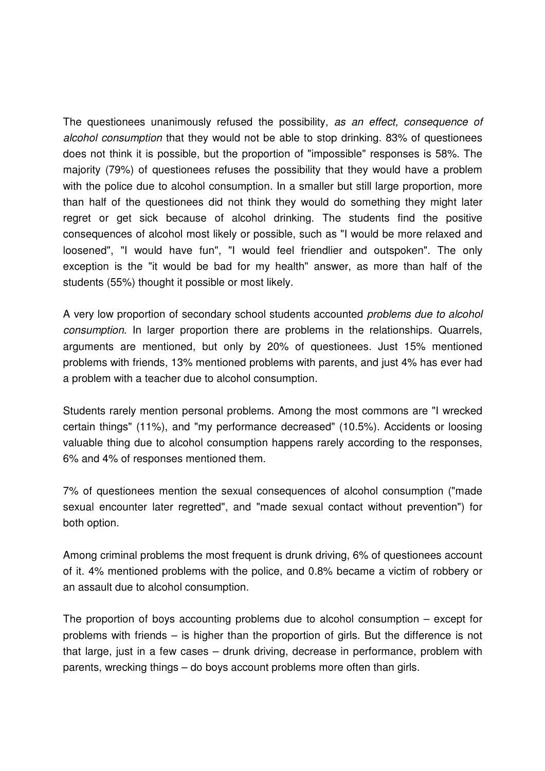The questionees unanimously refused the possibility, as an effect, consequence of alcohol consumption that they would not be able to stop drinking. 83% of questionees does not think it is possible, but the proportion of "impossible" responses is 58%. The majority (79%) of questionees refuses the possibility that they would have a problem with the police due to alcohol consumption. In a smaller but still large proportion, more than half of the questionees did not think they would do something they might later regret or get sick because of alcohol drinking. The students find the positive consequences of alcohol most likely or possible, such as "I would be more relaxed and loosened", "I would have fun", "I would feel friendlier and outspoken". The only exception is the "it would be bad for my health" answer, as more than half of the students (55%) thought it possible or most likely.

A very low proportion of secondary school students accounted problems due to alcohol consumption. In larger proportion there are problems in the relationships. Quarrels, arguments are mentioned, but only by 20% of questionees. Just 15% mentioned problems with friends, 13% mentioned problems with parents, and just 4% has ever had a problem with a teacher due to alcohol consumption.

Students rarely mention personal problems. Among the most commons are "I wrecked certain things" (11%), and "my performance decreased" (10.5%). Accidents or loosing valuable thing due to alcohol consumption happens rarely according to the responses, 6% and 4% of responses mentioned them.

7% of questionees mention the sexual consequences of alcohol consumption ("made sexual encounter later regretted", and "made sexual contact without prevention") for both option.

Among criminal problems the most frequent is drunk driving, 6% of questionees account of it. 4% mentioned problems with the police, and 0.8% became a victim of robbery or an assault due to alcohol consumption.

The proportion of boys accounting problems due to alcohol consumption – except for problems with friends – is higher than the proportion of girls. But the difference is not that large, just in a few cases – drunk driving, decrease in performance, problem with parents, wrecking things – do boys account problems more often than girls.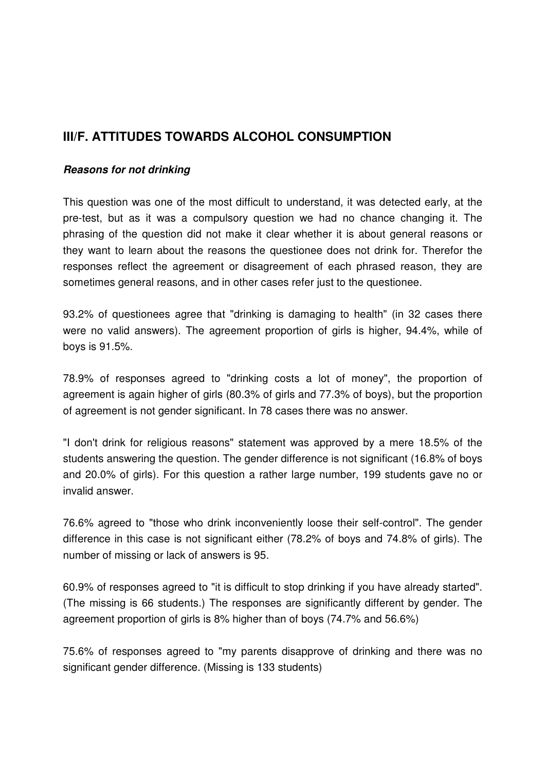# **III/F. ATTITUDES TOWARDS ALCOHOL CONSUMPTION**

#### **Reasons for not drinking**

This question was one of the most difficult to understand, it was detected early, at the pre-test, but as it was a compulsory question we had no chance changing it. The phrasing of the question did not make it clear whether it is about general reasons or they want to learn about the reasons the questionee does not drink for. Therefor the responses reflect the agreement or disagreement of each phrased reason, they are sometimes general reasons, and in other cases refer just to the questionee.

93.2% of questionees agree that "drinking is damaging to health" (in 32 cases there were no valid answers). The agreement proportion of girls is higher, 94.4%, while of boys is 91.5%.

78.9% of responses agreed to "drinking costs a lot of money", the proportion of agreement is again higher of girls (80.3% of girls and 77.3% of boys), but the proportion of agreement is not gender significant. In 78 cases there was no answer.

"I don't drink for religious reasons" statement was approved by a mere 18.5% of the students answering the question. The gender difference is not significant (16.8% of boys and 20.0% of girls). For this question a rather large number, 199 students gave no or invalid answer.

76.6% agreed to "those who drink inconveniently loose their self-control". The gender difference in this case is not significant either (78.2% of boys and 74.8% of girls). The number of missing or lack of answers is 95.

60.9% of responses agreed to "it is difficult to stop drinking if you have already started". (The missing is 66 students.) The responses are significantly different by gender. The agreement proportion of girls is 8% higher than of boys (74.7% and 56.6%)

75.6% of responses agreed to "my parents disapprove of drinking and there was no significant gender difference. (Missing is 133 students)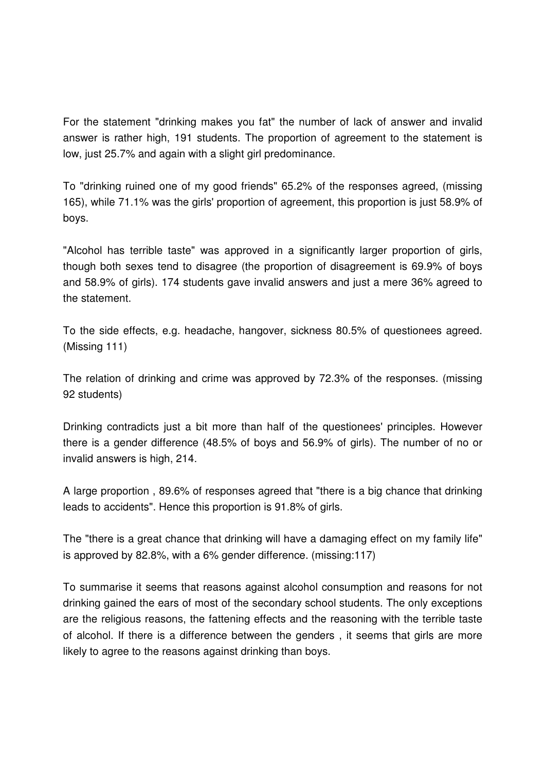For the statement "drinking makes you fat" the number of lack of answer and invalid answer is rather high, 191 students. The proportion of agreement to the statement is low, just 25.7% and again with a slight girl predominance.

To "drinking ruined one of my good friends" 65.2% of the responses agreed, (missing 165), while 71.1% was the girls' proportion of agreement, this proportion is just 58.9% of boys.

"Alcohol has terrible taste" was approved in a significantly larger proportion of girls, though both sexes tend to disagree (the proportion of disagreement is 69.9% of boys and 58.9% of girls). 174 students gave invalid answers and just a mere 36% agreed to the statement.

To the side effects, e.g. headache, hangover, sickness 80.5% of questionees agreed. (Missing 111)

The relation of drinking and crime was approved by 72.3% of the responses. (missing 92 students)

Drinking contradicts just a bit more than half of the questionees' principles. However there is a gender difference (48.5% of boys and 56.9% of girls). The number of no or invalid answers is high, 214.

A large proportion , 89.6% of responses agreed that "there is a big chance that drinking leads to accidents". Hence this proportion is 91.8% of girls.

The "there is a great chance that drinking will have a damaging effect on my family life" is approved by 82.8%, with a 6% gender difference. (missing:117)

To summarise it seems that reasons against alcohol consumption and reasons for not drinking gained the ears of most of the secondary school students. The only exceptions are the religious reasons, the fattening effects and the reasoning with the terrible taste of alcohol. If there is a difference between the genders , it seems that girls are more likely to agree to the reasons against drinking than boys.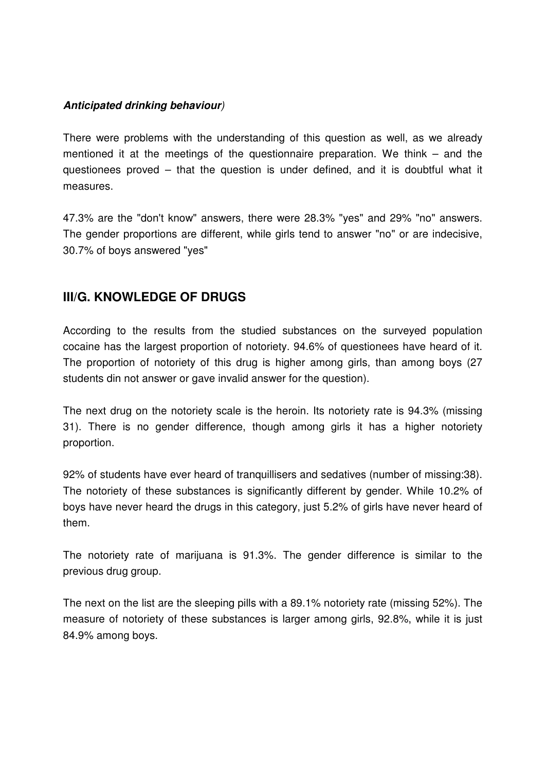## **Anticipated drinking behaviour**)

There were problems with the understanding of this question as well, as we already mentioned it at the meetings of the questionnaire preparation. We think – and the questionees proved – that the question is under defined, and it is doubtful what it measures.

47.3% are the "don't know" answers, there were 28.3% "yes" and 29% "no" answers. The gender proportions are different, while girls tend to answer "no" or are indecisive, 30.7% of boys answered "yes"

# **III/G. KNOWLEDGE OF DRUGS**

According to the results from the studied substances on the surveyed population cocaine has the largest proportion of notoriety. 94.6% of questionees have heard of it. The proportion of notoriety of this drug is higher among girls, than among boys (27 students din not answer or gave invalid answer for the question).

The next drug on the notoriety scale is the heroin. Its notoriety rate is 94.3% (missing 31). There is no gender difference, though among girls it has a higher notoriety proportion.

92% of students have ever heard of tranquillisers and sedatives (number of missing:38). The notoriety of these substances is significantly different by gender. While 10.2% of boys have never heard the drugs in this category, just 5.2% of girls have never heard of them.

The notoriety rate of marijuana is 91.3%. The gender difference is similar to the previous drug group.

The next on the list are the sleeping pills with a 89.1% notoriety rate (missing 52%). The measure of notoriety of these substances is larger among girls, 92.8%, while it is just 84.9% among boys.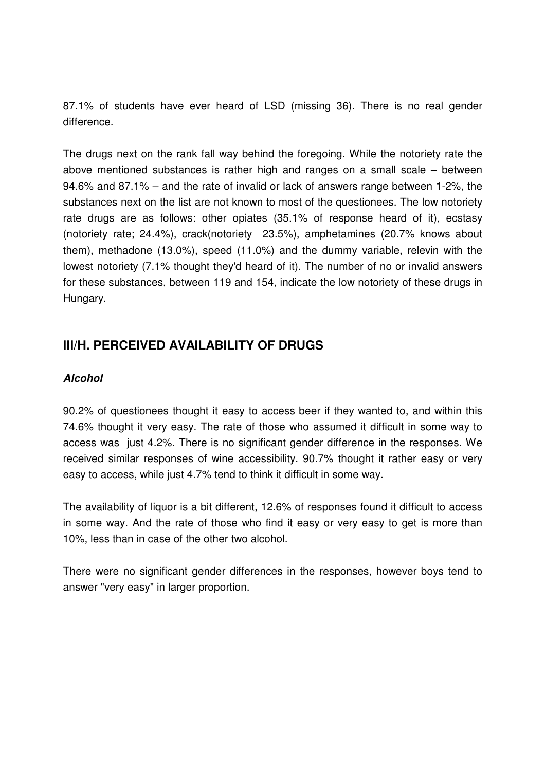87.1% of students have ever heard of LSD (missing 36). There is no real gender difference.

The drugs next on the rank fall way behind the foregoing. While the notoriety rate the above mentioned substances is rather high and ranges on a small scale – between 94.6% and 87.1% – and the rate of invalid or lack of answers range between 1-2%, the substances next on the list are not known to most of the questionees. The low notoriety rate drugs are as follows: other opiates (35.1% of response heard of it), ecstasy (notoriety rate; 24.4%), crack(notoriety 23.5%), amphetamines (20.7% knows about them), methadone (13.0%), speed (11.0%) and the dummy variable, relevin with the lowest notoriety (7.1% thought they'd heard of it). The number of no or invalid answers for these substances, between 119 and 154, indicate the low notoriety of these drugs in Hungary.

# **III/H. PERCEIVED AVAILABILITY OF DRUGS**

## **Alcohol**

90.2% of questionees thought it easy to access beer if they wanted to, and within this 74.6% thought it very easy. The rate of those who assumed it difficult in some way to access was just 4.2%. There is no significant gender difference in the responses. We received similar responses of wine accessibility. 90.7% thought it rather easy or very easy to access, while just 4.7% tend to think it difficult in some way.

The availability of liquor is a bit different, 12.6% of responses found it difficult to access in some way. And the rate of those who find it easy or very easy to get is more than 10%, less than in case of the other two alcohol.

There were no significant gender differences in the responses, however boys tend to answer "very easy" in larger proportion.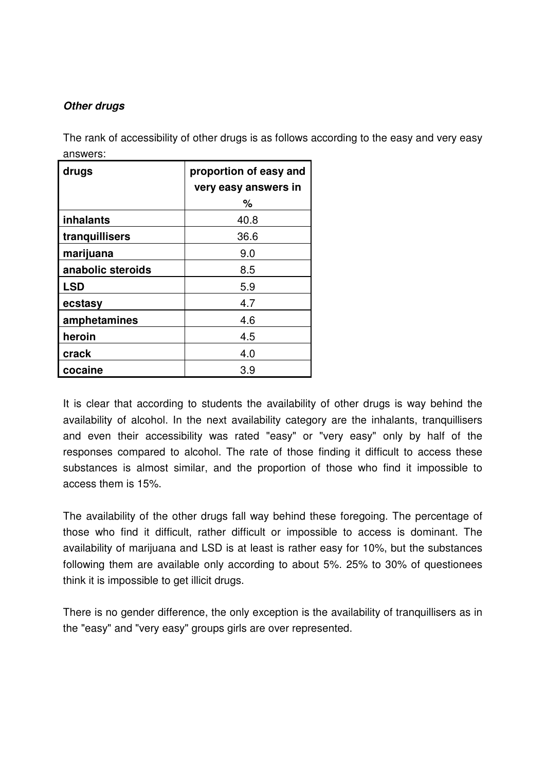## **Other drugs**

The rank of accessibility of other drugs is as follows according to the easy and very easy answers:

| drugs             | proportion of easy and<br>very easy answers in |  |
|-------------------|------------------------------------------------|--|
|                   | ℅                                              |  |
| inhalants         | 40.8                                           |  |
| tranquillisers    | 36.6                                           |  |
| marijuana         | 9.0                                            |  |
| anabolic steroids | 8.5                                            |  |
| <b>LSD</b>        | 5.9                                            |  |
| ecstasy           | 4.7                                            |  |
| amphetamines      | 4.6                                            |  |
| heroin            | 4.5                                            |  |
| crack             | 4.0                                            |  |
| cocaine           | 3.9                                            |  |

It is clear that according to students the availability of other drugs is way behind the availability of alcohol. In the next availability category are the inhalants, tranquillisers and even their accessibility was rated "easy" or "very easy" only by half of the responses compared to alcohol. The rate of those finding it difficult to access these substances is almost similar, and the proportion of those who find it impossible to access them is 15%.

The availability of the other drugs fall way behind these foregoing. The percentage of those who find it difficult, rather difficult or impossible to access is dominant. The availability of marijuana and LSD is at least is rather easy for 10%, but the substances following them are available only according to about 5%. 25% to 30% of questionees think it is impossible to get illicit drugs.

There is no gender difference, the only exception is the availability of tranquillisers as in the "easy" and "very easy" groups girls are over represented.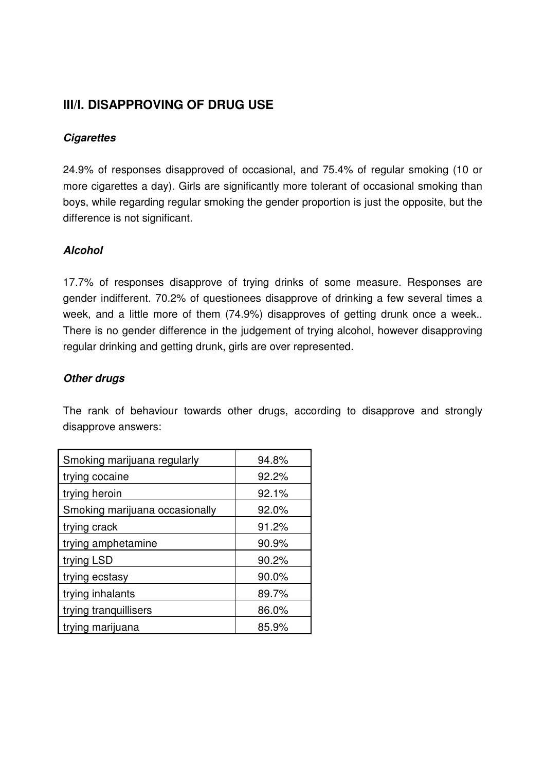# **III/I. DISAPPROVING OF DRUG USE**

## **Cigarettes**

24.9% of responses disapproved of occasional, and 75.4% of regular smoking (10 or more cigarettes a day). Girls are significantly more tolerant of occasional smoking than boys, while regarding regular smoking the gender proportion is just the opposite, but the difference is not significant.

## **Alcohol**

17.7% of responses disapprove of trying drinks of some measure. Responses are gender indifferent. 70.2% of questionees disapprove of drinking a few several times a week, and a little more of them (74.9%) disapproves of getting drunk once a week.. There is no gender difference in the judgement of trying alcohol, however disapproving regular drinking and getting drunk, girls are over represented.

#### **Other drugs**

The rank of behaviour towards other drugs, according to disapprove and strongly disapprove answers:

| Smoking marijuana regularly    | 94.8% |
|--------------------------------|-------|
| trying cocaine                 | 92.2% |
| trying heroin                  | 92.1% |
| Smoking marijuana occasionally | 92.0% |
| trying crack                   | 91.2% |
| trying amphetamine             | 90.9% |
| trying LSD                     | 90.2% |
| trying ecstasy                 | 90.0% |
| trying inhalants               | 89.7% |
| trying tranquillisers          | 86.0% |
| trying marijuana               | 85.9% |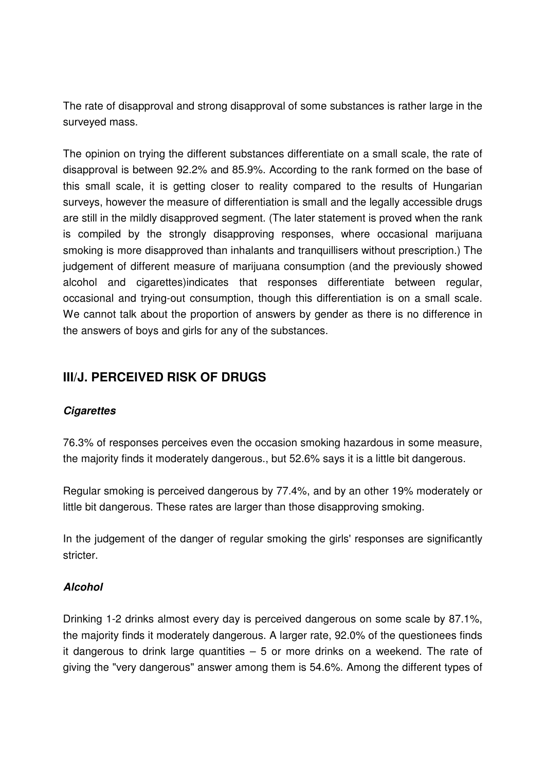The rate of disapproval and strong disapproval of some substances is rather large in the surveyed mass.

The opinion on trying the different substances differentiate on a small scale, the rate of disapproval is between 92.2% and 85.9%. According to the rank formed on the base of this small scale, it is getting closer to reality compared to the results of Hungarian surveys, however the measure of differentiation is small and the legally accessible drugs are still in the mildly disapproved segment. (The later statement is proved when the rank is compiled by the strongly disapproving responses, where occasional marijuana smoking is more disapproved than inhalants and tranquillisers without prescription.) The judgement of different measure of marijuana consumption (and the previously showed alcohol and cigarettes)indicates that responses differentiate between regular, occasional and trying-out consumption, though this differentiation is on a small scale. We cannot talk about the proportion of answers by gender as there is no difference in the answers of boys and girls for any of the substances.

# **III/J. PERCEIVED RISK OF DRUGS**

## **Cigarettes**

76.3% of responses perceives even the occasion smoking hazardous in some measure, the majority finds it moderately dangerous., but 52.6% says it is a little bit dangerous.

Regular smoking is perceived dangerous by 77.4%, and by an other 19% moderately or little bit dangerous. These rates are larger than those disapproving smoking.

In the judgement of the danger of regular smoking the girls' responses are significantly stricter.

## **Alcohol**

Drinking 1-2 drinks almost every day is perceived dangerous on some scale by 87.1%, the majority finds it moderately dangerous. A larger rate, 92.0% of the questionees finds it dangerous to drink large quantities  $-5$  or more drinks on a weekend. The rate of giving the "very dangerous" answer among them is 54.6%. Among the different types of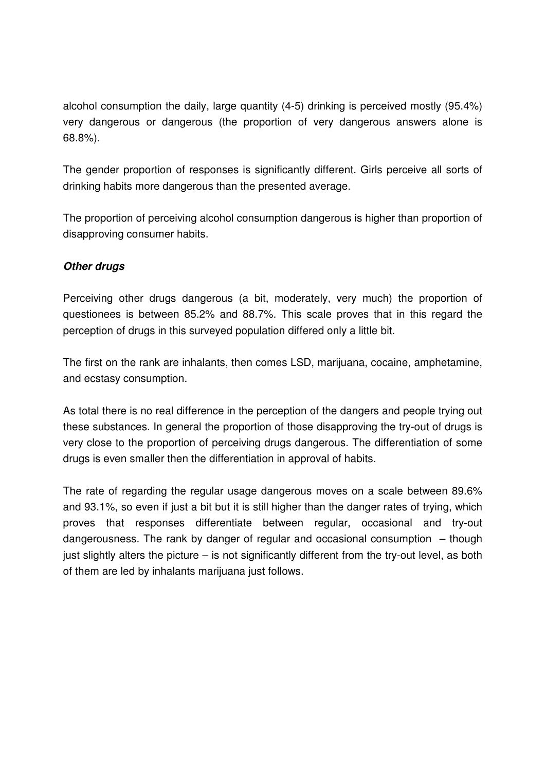alcohol consumption the daily, large quantity (4-5) drinking is perceived mostly (95.4%) very dangerous or dangerous (the proportion of very dangerous answers alone is 68.8%).

The gender proportion of responses is significantly different. Girls perceive all sorts of drinking habits more dangerous than the presented average.

The proportion of perceiving alcohol consumption dangerous is higher than proportion of disapproving consumer habits.

## **Other drugs**

Perceiving other drugs dangerous (a bit, moderately, very much) the proportion of questionees is between 85.2% and 88.7%. This scale proves that in this regard the perception of drugs in this surveyed population differed only a little bit.

The first on the rank are inhalants, then comes LSD, marijuana, cocaine, amphetamine, and ecstasy consumption.

As total there is no real difference in the perception of the dangers and people trying out these substances. In general the proportion of those disapproving the try-out of drugs is very close to the proportion of perceiving drugs dangerous. The differentiation of some drugs is even smaller then the differentiation in approval of habits.

The rate of regarding the regular usage dangerous moves on a scale between 89.6% and 93.1%, so even if just a bit but it is still higher than the danger rates of trying, which proves that responses differentiate between regular, occasional and try-out dangerousness. The rank by danger of regular and occasional consumption – though just slightly alters the picture – is not significantly different from the try-out level, as both of them are led by inhalants marijuana just follows.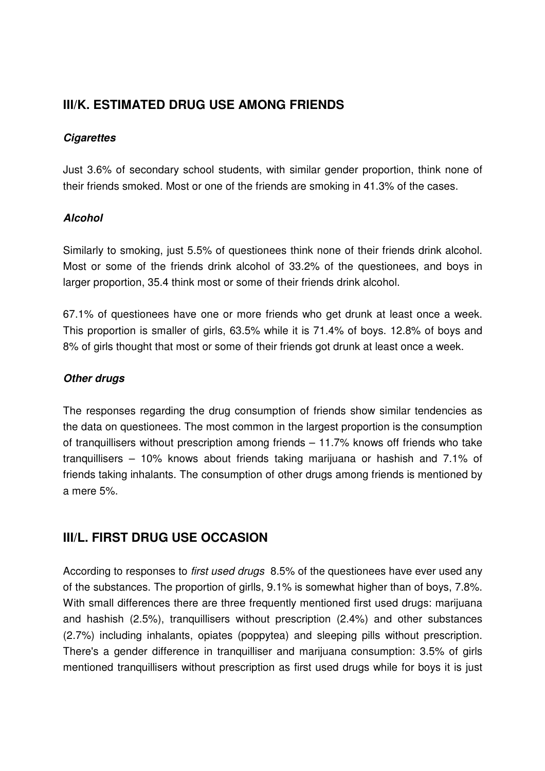# **III/K. ESTIMATED DRUG USE AMONG FRIENDS**

## **Cigarettes**

Just 3.6% of secondary school students, with similar gender proportion, think none of their friends smoked. Most or one of the friends are smoking in 41.3% of the cases.

## **Alcohol**

Similarly to smoking, just 5.5% of questionees think none of their friends drink alcohol. Most or some of the friends drink alcohol of 33.2% of the questionees, and boys in larger proportion, 35.4 think most or some of their friends drink alcohol.

67.1% of questionees have one or more friends who get drunk at least once a week. This proportion is smaller of girls, 63.5% while it is 71.4% of boys. 12.8% of boys and 8% of girls thought that most or some of their friends got drunk at least once a week.

## **Other drugs**

The responses regarding the drug consumption of friends show similar tendencies as the data on questionees. The most common in the largest proportion is the consumption of tranquillisers without prescription among friends – 11.7% knows off friends who take tranquillisers – 10% knows about friends taking marijuana or hashish and 7.1% of friends taking inhalants. The consumption of other drugs among friends is mentioned by a mere 5%.

# **III/L. FIRST DRUG USE OCCASION**

According to responses to first used drugs 8.5% of the questionees have ever used any of the substances. The proportion of girlls, 9.1% is somewhat higher than of boys, 7.8%. With small differences there are three frequently mentioned first used drugs: marijuana and hashish (2.5%), tranquillisers without prescription (2.4%) and other substances (2.7%) including inhalants, opiates (poppytea) and sleeping pills without prescription. There's a gender difference in tranquilliser and marijuana consumption: 3.5% of girls mentioned tranquillisers without prescription as first used drugs while for boys it is just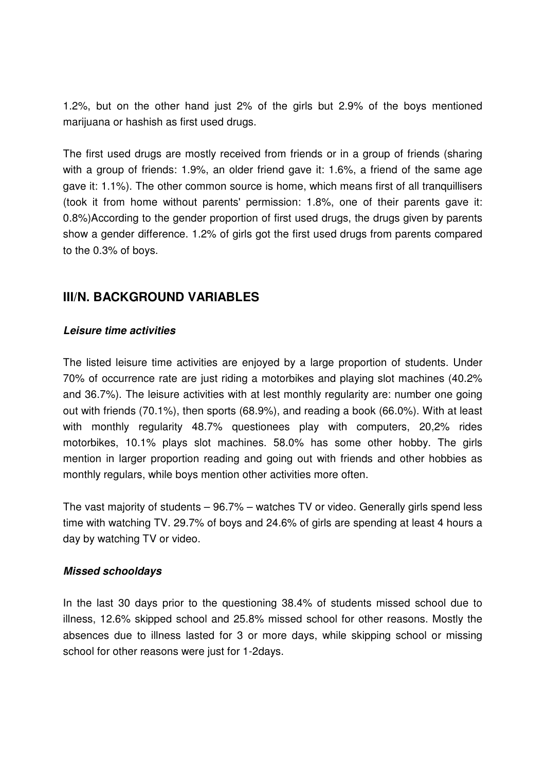1.2%, but on the other hand just 2% of the girls but 2.9% of the boys mentioned marijuana or hashish as first used drugs.

The first used drugs are mostly received from friends or in a group of friends (sharing with a group of friends: 1.9%, an older friend gave it: 1.6%, a friend of the same age gave it: 1.1%). The other common source is home, which means first of all tranquillisers (took it from home without parents' permission: 1.8%, one of their parents gave it: 0.8%)According to the gender proportion of first used drugs, the drugs given by parents show a gender difference. 1.2% of girls got the first used drugs from parents compared to the 0.3% of boys.

# **III/N. BACKGROUND VARIABLES**

## **Leisure time activities**

The listed leisure time activities are enjoyed by a large proportion of students. Under 70% of occurrence rate are just riding a motorbikes and playing slot machines (40.2% and 36.7%). The leisure activities with at lest monthly regularity are: number one going out with friends (70.1%), then sports (68.9%), and reading a book (66.0%). With at least with monthly regularity 48.7% questionees play with computers, 20,2% rides motorbikes, 10.1% plays slot machines. 58.0% has some other hobby. The girls mention in larger proportion reading and going out with friends and other hobbies as monthly regulars, while boys mention other activities more often.

The vast majority of students – 96.7% – watches TV or video. Generally girls spend less time with watching TV. 29.7% of boys and 24.6% of girls are spending at least 4 hours a day by watching TV or video.

## **Missed schooldays**

In the last 30 days prior to the questioning 38.4% of students missed school due to illness, 12.6% skipped school and 25.8% missed school for other reasons. Mostly the absences due to illness lasted for 3 or more days, while skipping school or missing school for other reasons were just for 1-2days.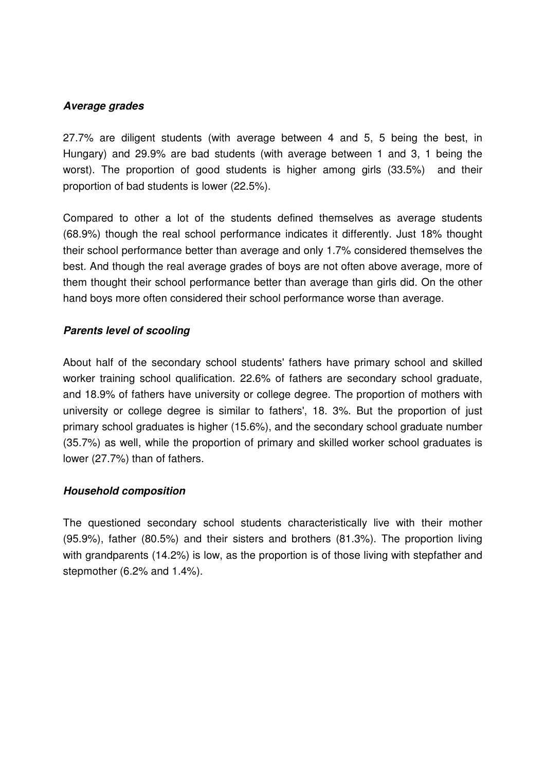#### **Average grades**

27.7% are diligent students (with average between 4 and 5, 5 being the best, in Hungary) and 29.9% are bad students (with average between 1 and 3, 1 being the worst). The proportion of good students is higher among girls (33.5%) and their proportion of bad students is lower (22.5%).

Compared to other a lot of the students defined themselves as average students (68.9%) though the real school performance indicates it differently. Just 18% thought their school performance better than average and only 1.7% considered themselves the best. And though the real average grades of boys are not often above average, more of them thought their school performance better than average than girls did. On the other hand boys more often considered their school performance worse than average.

## **Parents level of scooling**

About half of the secondary school students' fathers have primary school and skilled worker training school qualification. 22.6% of fathers are secondary school graduate, and 18.9% of fathers have university or college degree. The proportion of mothers with university or college degree is similar to fathers', 18. 3%. But the proportion of just primary school graduates is higher (15.6%), and the secondary school graduate number (35.7%) as well, while the proportion of primary and skilled worker school graduates is lower (27.7%) than of fathers.

## **Household composition**

The questioned secondary school students characteristically live with their mother (95.9%), father (80.5%) and their sisters and brothers (81.3%). The proportion living with grandparents (14.2%) is low, as the proportion is of those living with stepfather and stepmother (6.2% and 1.4%).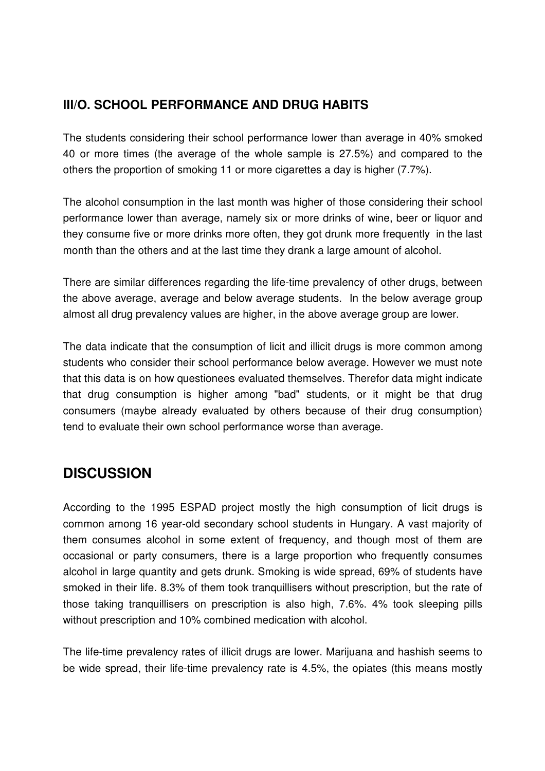# **III/O. SCHOOL PERFORMANCE AND DRUG HABITS**

The students considering their school performance lower than average in 40% smoked 40 or more times (the average of the whole sample is 27.5%) and compared to the others the proportion of smoking 11 or more cigarettes a day is higher (7.7%).

The alcohol consumption in the last month was higher of those considering their school performance lower than average, namely six or more drinks of wine, beer or liquor and they consume five or more drinks more often, they got drunk more frequently in the last month than the others and at the last time they drank a large amount of alcohol.

There are similar differences regarding the life-time prevalency of other drugs, between the above average, average and below average students. In the below average group almost all drug prevalency values are higher, in the above average group are lower.

The data indicate that the consumption of licit and illicit drugs is more common among students who consider their school performance below average. However we must note that this data is on how questionees evaluated themselves. Therefor data might indicate that drug consumption is higher among "bad" students, or it might be that drug consumers (maybe already evaluated by others because of their drug consumption) tend to evaluate their own school performance worse than average.

# **DISCUSSION**

According to the 1995 ESPAD project mostly the high consumption of licit drugs is common among 16 year-old secondary school students in Hungary. A vast majority of them consumes alcohol in some extent of frequency, and though most of them are occasional or party consumers, there is a large proportion who frequently consumes alcohol in large quantity and gets drunk. Smoking is wide spread, 69% of students have smoked in their life. 8.3% of them took tranquillisers without prescription, but the rate of those taking tranquillisers on prescription is also high, 7.6%. 4% took sleeping pills without prescription and 10% combined medication with alcohol.

The life-time prevalency rates of illicit drugs are lower. Marijuana and hashish seems to be wide spread, their life-time prevalency rate is 4.5%, the opiates (this means mostly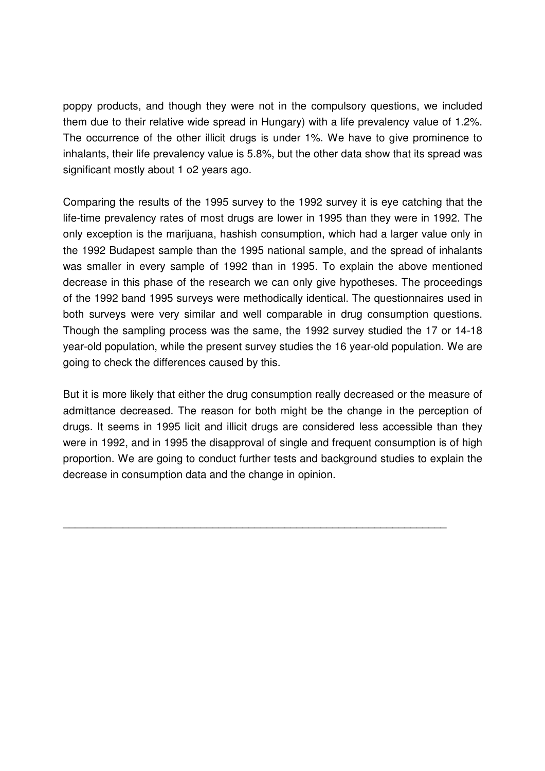poppy products, and though they were not in the compulsory questions, we included them due to their relative wide spread in Hungary) with a life prevalency value of 1.2%. The occurrence of the other illicit drugs is under 1%. We have to give prominence to inhalants, their life prevalency value is 5.8%, but the other data show that its spread was significant mostly about 1 o2 years ago.

Comparing the results of the 1995 survey to the 1992 survey it is eye catching that the life-time prevalency rates of most drugs are lower in 1995 than they were in 1992. The only exception is the marijuana, hashish consumption, which had a larger value only in the 1992 Budapest sample than the 1995 national sample, and the spread of inhalants was smaller in every sample of 1992 than in 1995. To explain the above mentioned decrease in this phase of the research we can only give hypotheses. The proceedings of the 1992 band 1995 surveys were methodically identical. The questionnaires used in both surveys were very similar and well comparable in drug consumption questions. Though the sampling process was the same, the 1992 survey studied the 17 or 14-18 year-old population, while the present survey studies the 16 year-old population. We are going to check the differences caused by this.

But it is more likely that either the drug consumption really decreased or the measure of admittance decreased. The reason for both might be the change in the perception of drugs. It seems in 1995 licit and illicit drugs are considered less accessible than they were in 1992, and in 1995 the disapproval of single and frequent consumption is of high proportion. We are going to conduct further tests and background studies to explain the decrease in consumption data and the change in opinion.

\_\_\_\_\_\_\_\_\_\_\_\_\_\_\_\_\_\_\_\_\_\_\_\_\_\_\_\_\_\_\_\_\_\_\_\_\_\_\_\_\_\_\_\_\_\_\_\_\_\_\_\_\_\_\_\_\_\_\_\_\_\_\_\_